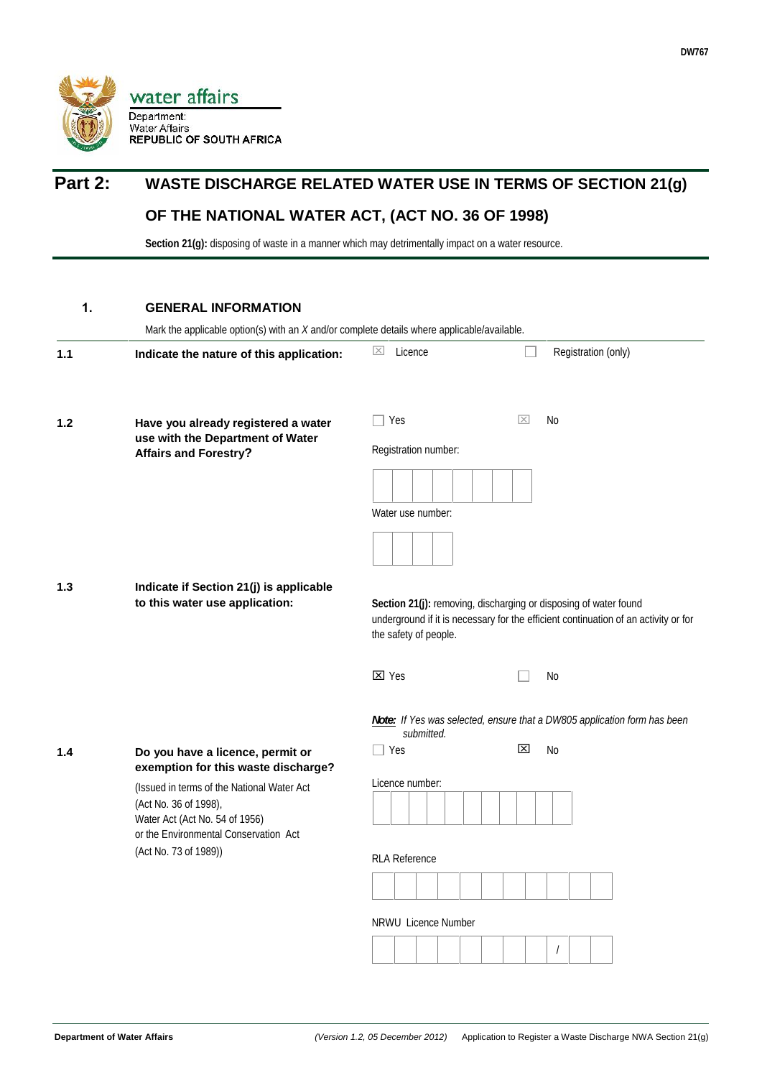

# **Part 2: WASTE DISCHARGE RELATED WATER USE IN TERMS OF SECTION 21(g)**

## **OF THE NATIONAL WATER ACT, (ACT NO. 36 OF 1998)**

Section 21(g): disposing of waste in a manner which may detrimentally impact on a water resource.

#### **1. GENERAL INFORMATION**

| 1.1 | Indicate the nature of this application:                                  | Licence<br>$ \times $                                                                                                                                                            | Registration (only)                                                      |  |  |  |  |
|-----|---------------------------------------------------------------------------|----------------------------------------------------------------------------------------------------------------------------------------------------------------------------------|--------------------------------------------------------------------------|--|--|--|--|
| 1.2 | Have you already registered a water                                       | Yes                                                                                                                                                                              | $\overline{\times}$<br>No                                                |  |  |  |  |
|     | use with the Department of Water<br><b>Affairs and Forestry?</b>          | Registration number:                                                                                                                                                             |                                                                          |  |  |  |  |
|     |                                                                           |                                                                                                                                                                                  |                                                                          |  |  |  |  |
|     |                                                                           | Water use number:                                                                                                                                                                |                                                                          |  |  |  |  |
|     |                                                                           |                                                                                                                                                                                  |                                                                          |  |  |  |  |
| 1.3 | Indicate if Section 21(j) is applicable<br>to this water use application: | Section 21(j): removing, discharging or disposing of water found<br>underground if it is necessary for the efficient continuation of an activity or for<br>the safety of people. |                                                                          |  |  |  |  |
|     |                                                                           | $\boxtimes$ Yes                                                                                                                                                                  | No                                                                       |  |  |  |  |
|     |                                                                           | submitted.                                                                                                                                                                       | Note: If Yes was selected, ensure that a DW805 application form has been |  |  |  |  |
| 1.4 | Do you have a licence, permit or<br>exemption for this waste discharge?   | ∏ Yes                                                                                                                                                                            | ⊠<br>No                                                                  |  |  |  |  |
|     | (Issued in terms of the National Water Act                                | Licence number:                                                                                                                                                                  |                                                                          |  |  |  |  |
|     | (Act No. 36 of 1998),<br>Water Act (Act No. 54 of 1956)                   |                                                                                                                                                                                  |                                                                          |  |  |  |  |
|     | or the Environmental Conservation Act<br>(Act No. 73 of 1989))            |                                                                                                                                                                                  |                                                                          |  |  |  |  |
|     |                                                                           | <b>RLA Reference</b>                                                                                                                                                             |                                                                          |  |  |  |  |
|     |                                                                           |                                                                                                                                                                                  |                                                                          |  |  |  |  |
|     |                                                                           | NRWU Licence Number                                                                                                                                                              |                                                                          |  |  |  |  |
|     |                                                                           |                                                                                                                                                                                  | $\prime$                                                                 |  |  |  |  |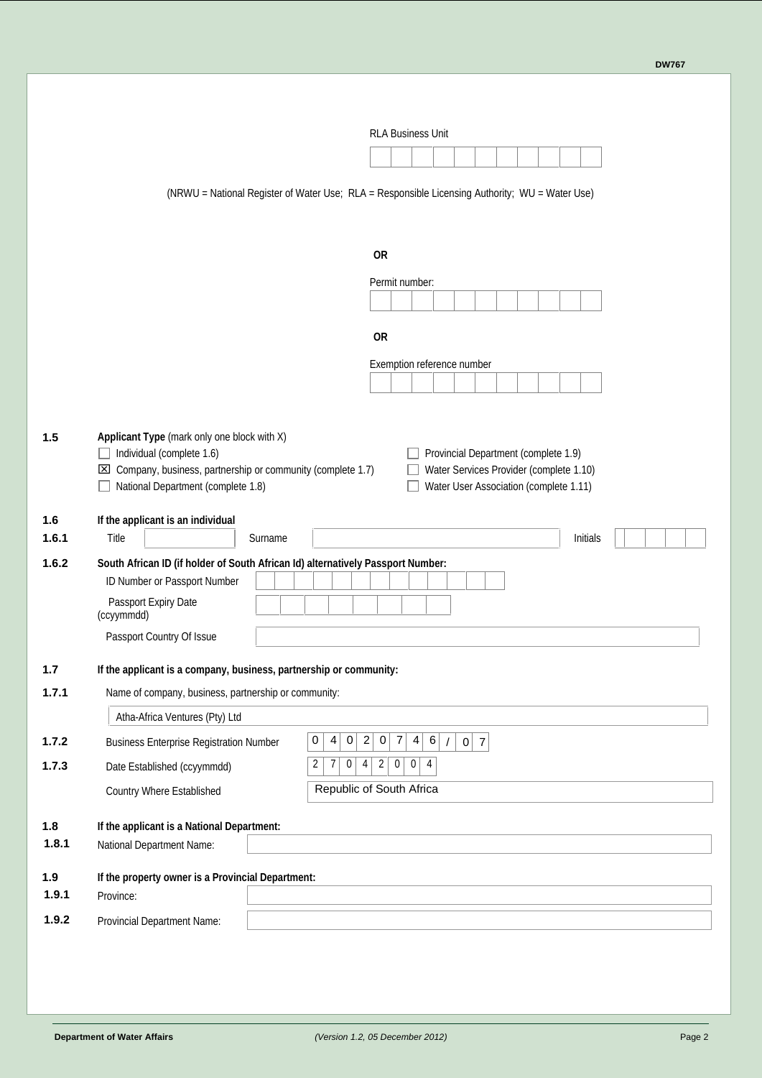|              | <b>RLA Business Unit</b>                                                                                                                                                                                                                                                                                                                             |
|--------------|------------------------------------------------------------------------------------------------------------------------------------------------------------------------------------------------------------------------------------------------------------------------------------------------------------------------------------------------------|
|              |                                                                                                                                                                                                                                                                                                                                                      |
|              | (NRWU = National Register of Water Use; RLA = Responsible Licensing Authority; WU = Water Use)                                                                                                                                                                                                                                                       |
|              | <b>OR</b>                                                                                                                                                                                                                                                                                                                                            |
|              | Permit number:                                                                                                                                                                                                                                                                                                                                       |
|              | <b>OR</b>                                                                                                                                                                                                                                                                                                                                            |
|              | Exemption reference number                                                                                                                                                                                                                                                                                                                           |
| 1.5          | Applicant Type (mark only one block with $X$ )<br>Individual (complete 1.6)<br>Provincial Department (complete 1.9)<br>$\overline{\phantom{a}}$<br>$\boxtimes$ Company, business, partnership or community (complete 1.7)<br>Water Services Provider (complete 1.10)<br>National Department (complete 1.8)<br>Water User Association (complete 1.11) |
| 1.6<br>1.6.1 | If the applicant is an individual<br>Title<br>Sumame<br>Initials                                                                                                                                                                                                                                                                                     |
| 1.6.2        | South African ID (if holder of South African Id) alternatively Passport Number:                                                                                                                                                                                                                                                                      |
|              | ID Number or Passport Number                                                                                                                                                                                                                                                                                                                         |
|              | Passport Expiry Date<br>(ccyymmdd)                                                                                                                                                                                                                                                                                                                   |
|              | Passport Country Of Issue                                                                                                                                                                                                                                                                                                                            |
| 1.7          | If the applicant is a company, business, partnership or community:                                                                                                                                                                                                                                                                                   |
| 1.7.1        | Name of company, business, partnership or community:                                                                                                                                                                                                                                                                                                 |
|              | Atha-Africa Ventures (Pty) Ltd                                                                                                                                                                                                                                                                                                                       |
| 1.7.2        | 0<br>$\overline{0}$<br>$\overline{c}$<br>$\overline{7}$<br>$\overline{4}$<br>6<br>$\overline{4}$<br> 0 <br>$0\vert 7$<br><b>Business Enterprise Registration Number</b>                                                                                                                                                                              |
| 1.7.3        | $2\vert$<br>$\overline{2}$<br>$\vert 0 \vert$<br>4<br>$\mathbf 0$<br>$\overline{0}$<br>7<br>4<br>Date Established (ccyymmdd)                                                                                                                                                                                                                         |
|              | Republic of South Africa<br>Country Where Established                                                                                                                                                                                                                                                                                                |
| 1.8          | If the applicant is a National Department:                                                                                                                                                                                                                                                                                                           |
| 1.8.1        | National Department Name:                                                                                                                                                                                                                                                                                                                            |
| 1.9          | If the property owner is a Provincial Department:                                                                                                                                                                                                                                                                                                    |
| 1.9.1        | Province:                                                                                                                                                                                                                                                                                                                                            |
| 1.9.2        | Provincial Department Name:                                                                                                                                                                                                                                                                                                                          |
|              |                                                                                                                                                                                                                                                                                                                                                      |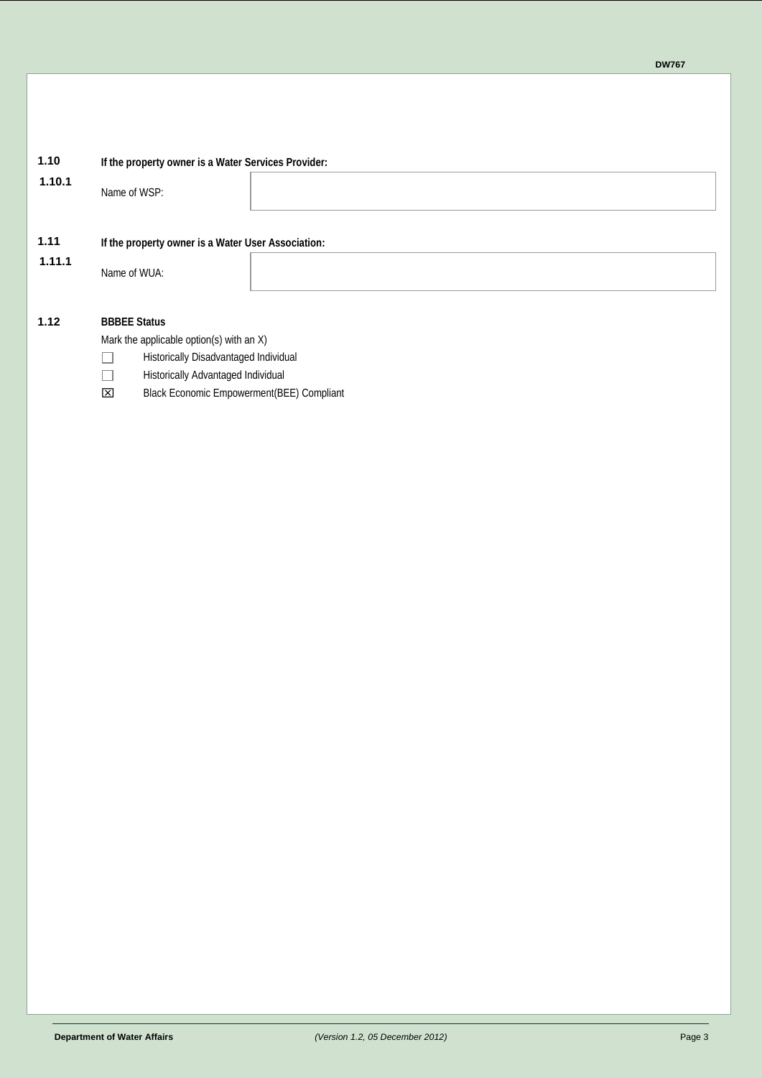# **1.10.1** Name of WSP: **1.11 If the property owner is a Water User Association: 1.11.1** Name of WUA:

### **1.12 BBBEE Status**

Mark the applicable option(s) with an X)

**1.10 If the property owner is a Water Services Provider:**

- $\Box$ Historically Disadvantaged Individual
- $\Box$ Historically Advantaged Individual
- Black Economic Empowerment(BEE) Compliant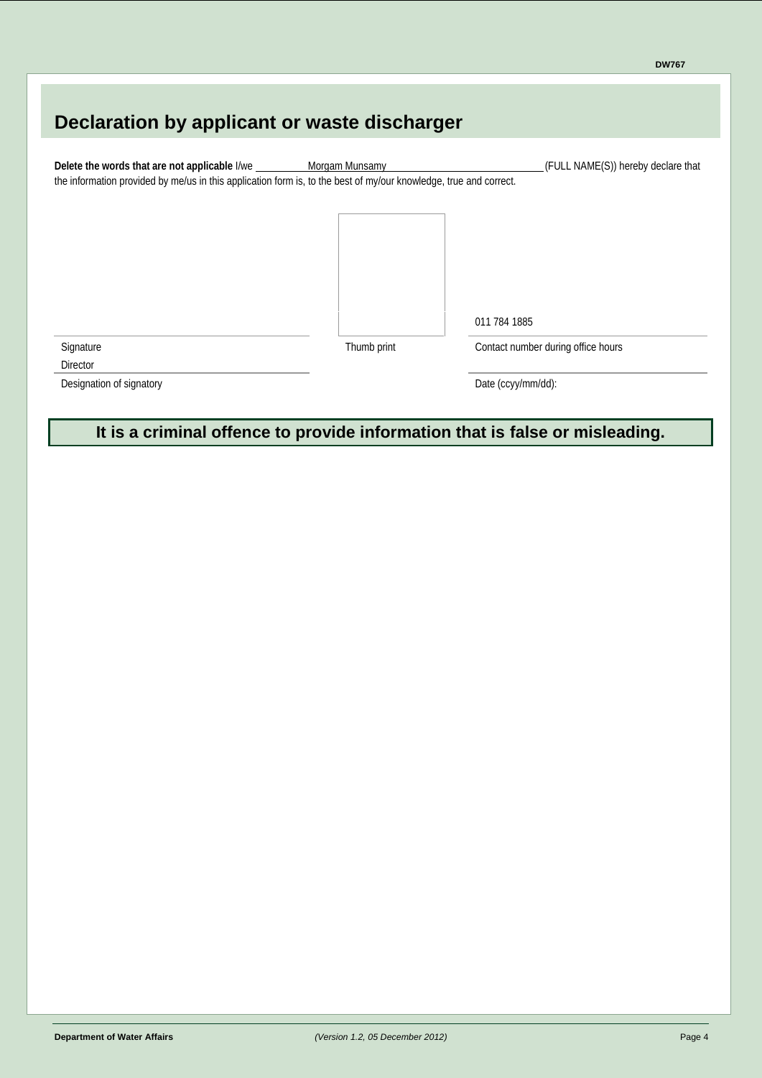# **Declaration by applicant or waste discharger** Delete the words that are not applicable I/we Morgam Munsamy **Morgam Munsamy** (FULL NAME(S)) hereby declare that the information provided by me/us in this application form is, to the best of my/our knowledge, true and correct. 011 784 1885 Signature **Signature Thumb print** Contact number during office hours **Director**

Designation of signatory Date (ccyy/mm/dd):

**It is a criminal offence to provide information that is false or misleading.**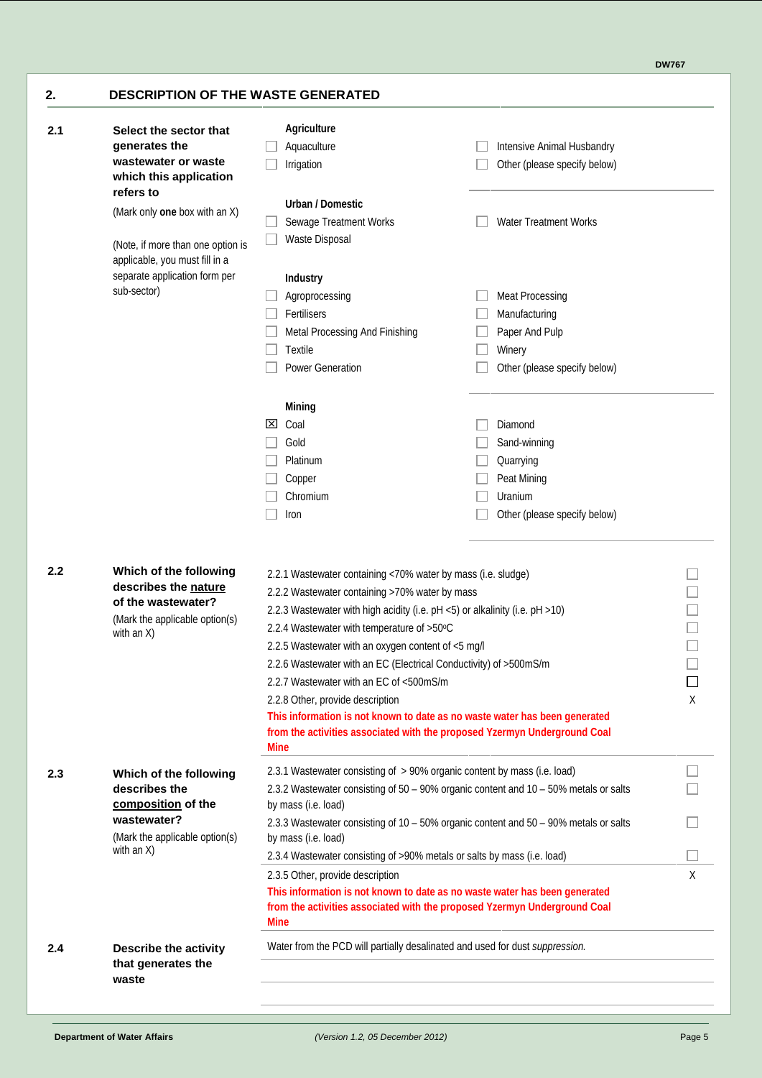**DW767**

| 2.1 | Select the sector that                                                | <b>Agriculture</b>                                                                                                                                                                                                                                                                                                                                                                                                                                                                             |                                                                                      |   |
|-----|-----------------------------------------------------------------------|------------------------------------------------------------------------------------------------------------------------------------------------------------------------------------------------------------------------------------------------------------------------------------------------------------------------------------------------------------------------------------------------------------------------------------------------------------------------------------------------|--------------------------------------------------------------------------------------|---|
|     | generates the                                                         | Aquaculture                                                                                                                                                                                                                                                                                                                                                                                                                                                                                    | Intensive Animal Husbandry                                                           |   |
|     | wastewater or waste<br>which this application<br>refers to            | Irrigation                                                                                                                                                                                                                                                                                                                                                                                                                                                                                     | Other (please specify below)                                                         |   |
|     | (Mark only one box with an $X$ )                                      | <b>Urban / Domestic</b>                                                                                                                                                                                                                                                                                                                                                                                                                                                                        |                                                                                      |   |
|     |                                                                       | Sewage Treatment Works                                                                                                                                                                                                                                                                                                                                                                                                                                                                         | <b>Water Treatment Works</b>                                                         |   |
|     | (Note, if more than one option is<br>applicable, you must fill in a   | <b>Waste Disposal</b>                                                                                                                                                                                                                                                                                                                                                                                                                                                                          |                                                                                      |   |
|     | separate application form per<br>sub-sector)                          | <b>Industry</b>                                                                                                                                                                                                                                                                                                                                                                                                                                                                                |                                                                                      |   |
|     |                                                                       | Agroprocessing                                                                                                                                                                                                                                                                                                                                                                                                                                                                                 | <b>Meat Processing</b>                                                               |   |
|     |                                                                       | Fertilisers                                                                                                                                                                                                                                                                                                                                                                                                                                                                                    | Manufacturing                                                                        |   |
|     |                                                                       | Metal Processing And Finishing                                                                                                                                                                                                                                                                                                                                                                                                                                                                 | Paper And Pulp                                                                       |   |
|     |                                                                       | <b>Textile</b>                                                                                                                                                                                                                                                                                                                                                                                                                                                                                 | Winery                                                                               |   |
|     |                                                                       | Power Generation                                                                                                                                                                                                                                                                                                                                                                                                                                                                               | Other (please specify below)                                                         |   |
|     |                                                                       | Mining                                                                                                                                                                                                                                                                                                                                                                                                                                                                                         |                                                                                      |   |
|     |                                                                       | Coal<br>lхI                                                                                                                                                                                                                                                                                                                                                                                                                                                                                    | Diamond                                                                              |   |
|     |                                                                       | Gold                                                                                                                                                                                                                                                                                                                                                                                                                                                                                           | Sand-winning                                                                         |   |
|     |                                                                       | Platinum                                                                                                                                                                                                                                                                                                                                                                                                                                                                                       | Quarrying                                                                            |   |
|     |                                                                       | Copper                                                                                                                                                                                                                                                                                                                                                                                                                                                                                         | Peat Mining                                                                          |   |
|     |                                                                       | Chromium                                                                                                                                                                                                                                                                                                                                                                                                                                                                                       | Uranium                                                                              |   |
|     |                                                                       | Iron                                                                                                                                                                                                                                                                                                                                                                                                                                                                                           | Other (please specify below)                                                         |   |
|     | of the wastewater?<br>(Mark the applicable option(s)<br>with an $X$ ) | 2.2.3 Wastewater with high acidity (i.e. pH <5) or alkalinity (i.e. pH >10)<br>2.2.4 Wastewater with temperature of >50°C<br>2.2.5 Wastewater with an oxygen content of <5 mg/l<br>2.2.6 Wastewater with an EC (Electrical Conductivity) of >500mS/m<br>2.2.7 Wastewater with an EC of <500mS/m<br>2.2.8 Other, provide description<br>This information is not known to date as no waste water has been generated<br>from the activities associated with the proposed Yzermyn Underground Coal |                                                                                      | X |
|     |                                                                       | <b>Mine</b>                                                                                                                                                                                                                                                                                                                                                                                                                                                                                    |                                                                                      |   |
| 2.3 | Which of the following                                                | 2.3.1 Wastewater consisting of > 90% organic content by mass (i.e. load)                                                                                                                                                                                                                                                                                                                                                                                                                       |                                                                                      |   |
|     | describes the                                                         |                                                                                                                                                                                                                                                                                                                                                                                                                                                                                                | 2.3.2 Wastewater consisting of 50 - 90% organic content and 10 - 50% metals or salts |   |
|     | composition of the<br>wastewater?                                     | by mass (i.e. load)                                                                                                                                                                                                                                                                                                                                                                                                                                                                            |                                                                                      |   |
|     |                                                                       |                                                                                                                                                                                                                                                                                                                                                                                                                                                                                                | 2.3.3 Wastewater consisting of 10 - 50% organic content and 50 - 90% metals or salts |   |
|     | (Mark the applicable option(s)<br>with an $X$ )                       | by mass (i.e. load)                                                                                                                                                                                                                                                                                                                                                                                                                                                                            |                                                                                      |   |
|     |                                                                       | 2.3.4 Wastewater consisting of >90% metals or salts by mass (i.e. load)                                                                                                                                                                                                                                                                                                                                                                                                                        |                                                                                      |   |
|     |                                                                       | 2.3.5 Other, provide description<br>This information is not known to date as no waste water has been generated                                                                                                                                                                                                                                                                                                                                                                                 |                                                                                      | X |
|     |                                                                       | from the activities associated with the proposed Yzermyn Underground Coal<br><b>Mine</b>                                                                                                                                                                                                                                                                                                                                                                                                       |                                                                                      |   |
| 2.4 | Describe the activity                                                 | Water from the PCD will partially desalinated and used for dust suppression.                                                                                                                                                                                                                                                                                                                                                                                                                   |                                                                                      |   |
|     |                                                                       |                                                                                                                                                                                                                                                                                                                                                                                                                                                                                                |                                                                                      |   |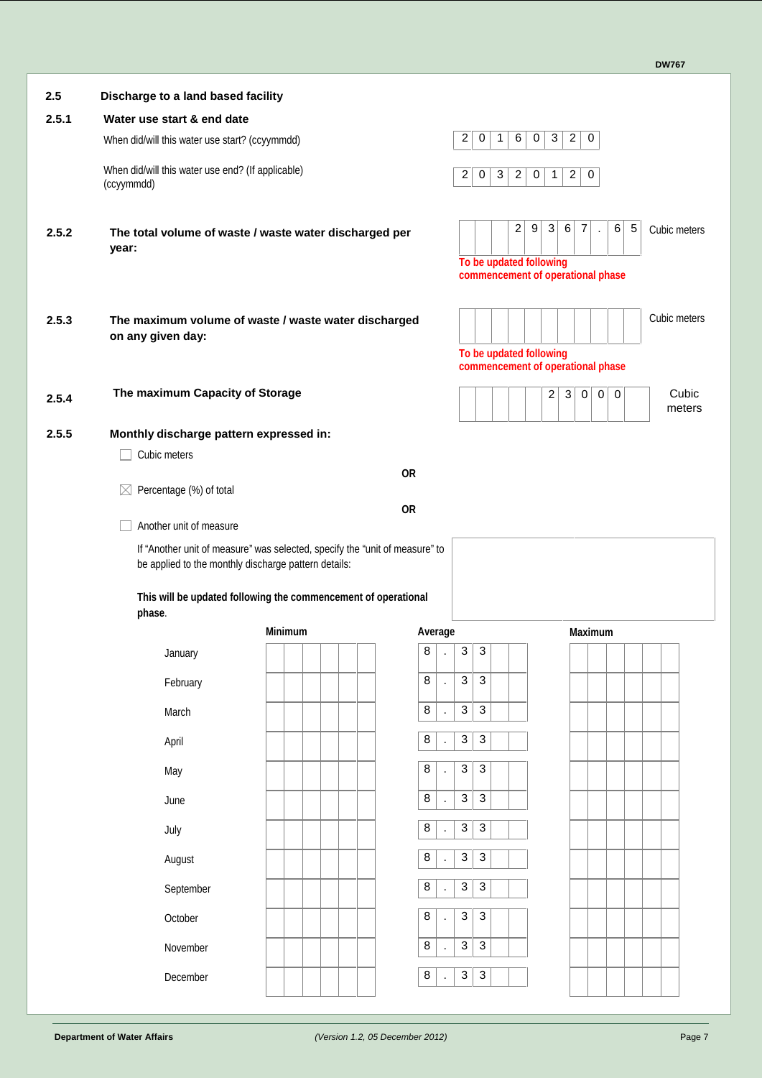| 2.5   | Discharge to a land based facility                                        |                                                                             |                     |                                                                                         |                                                                                   |                 |
|-------|---------------------------------------------------------------------------|-----------------------------------------------------------------------------|---------------------|-----------------------------------------------------------------------------------------|-----------------------------------------------------------------------------------|-----------------|
| 2.5.1 | Water use start & end date                                                |                                                                             |                     |                                                                                         |                                                                                   |                 |
|       | When did/will this water use start? (ccyymmdd)                            |                                                                             |                     | $\overline{\mathbf{c}}$<br>6 <sup>1</sup><br>$\mathbf 0$<br>$\mathbf 0$<br>$\mathbf{1}$ | 3 <br>$\overline{2}$<br>$\mathbf 0$                                               |                 |
|       | When did/will this water use end? (If applicable)<br>(ccyymmdd)           |                                                                             |                     | $\overline{c}$<br>$\mathbf 0$<br>3<br>2 <sup>1</sup><br>$\boldsymbol{0}$                | $\overline{2}$<br>$\boldsymbol{0}$<br>$\mathbf{1}$                                |                 |
| 2.5.2 | The total volume of waste / waste water discharged per<br>year:           |                                                                             |                     | 2<br>9<br>To be updated following<br>commencement of operational phase                  | $\mathbf{3}$<br>6<br>$\overline{7}$<br>6<br>5<br>÷,                               | Cubic meters    |
| 2.5.3 | The maximum volume of waste / waste water discharged<br>on any given day: |                                                                             |                     | To be updated following<br>commencement of operational phase                            |                                                                                   | Cubic meters    |
| 2.5.4 | The maximum Capacity of Storage                                           |                                                                             |                     |                                                                                         | $\overline{c}$<br>$\mathbf{3}$<br>$\overline{0}$<br>$\overline{0}$<br>$\mathbf 0$ | Cubic<br>meters |
| 2.5.5 | Monthly discharge pattern expressed in:                                   |                                                                             |                     |                                                                                         |                                                                                   |                 |
|       | Cubic meters                                                              |                                                                             |                     |                                                                                         |                                                                                   |                 |
|       | Percentage (%) of total<br>$\bowtie$                                      |                                                                             | <b>OR</b>           |                                                                                         |                                                                                   |                 |
|       | Another unit of measure                                                   |                                                                             | <b>OR</b>           |                                                                                         |                                                                                   |                 |
|       | be applied to the monthly discharge pattern details:                      | If "Another unit of measure" was selected, specify the "unit of measure" to |                     |                                                                                         |                                                                                   |                 |
|       | phase.                                                                    | This will be updated following the commencement of operational              |                     |                                                                                         |                                                                                   |                 |
|       |                                                                           | <b>Minimum</b>                                                              | Average             |                                                                                         | <b>Maximum</b>                                                                    |                 |
|       | January                                                                   |                                                                             | 8                   | $\sqrt{3}$<br>3                                                                         |                                                                                   |                 |
|       | February                                                                  |                                                                             | 8                   | 3<br>3                                                                                  |                                                                                   |                 |
|       | March                                                                     |                                                                             | 8                   | $\ensuremath{\mathsf{3}}$<br>$\sqrt{3}$                                                 |                                                                                   |                 |
|       | April                                                                     |                                                                             | 8                   | $\ensuremath{\mathsf{3}}$<br>$\ensuremath{\mathsf{3}}$                                  |                                                                                   |                 |
|       | May                                                                       |                                                                             | 8<br>$\blacksquare$ | 3<br>$\mathbf{3}$                                                                       |                                                                                   |                 |
|       | June                                                                      |                                                                             | 8<br>$\cdot$        | 3<br>$\sqrt{3}$                                                                         |                                                                                   |                 |
|       | July                                                                      |                                                                             | 8                   | $\ensuremath{\mathsf{3}}$<br>$\ensuremath{\mathsf{3}}$                                  |                                                                                   |                 |
|       | August                                                                    |                                                                             | 8<br>$\mathbf{r}$   | $\mathbf{3}$<br>$\mathbf{3}$                                                            |                                                                                   |                 |
|       | September                                                                 |                                                                             | 8                   | 3<br>$\sqrt{3}$                                                                         |                                                                                   |                 |
|       | October                                                                   |                                                                             | 8                   | 3<br>$\mathbf{3}$                                                                       |                                                                                   |                 |
|       | November                                                                  |                                                                             | 8<br>$\mathbf{r}$   | 3<br>$\mathbf{3}$                                                                       |                                                                                   |                 |
|       | December                                                                  |                                                                             | 8<br>$\cdot$        | $\ensuremath{\mathsf{3}}$<br>$\sqrt{3}$                                                 |                                                                                   |                 |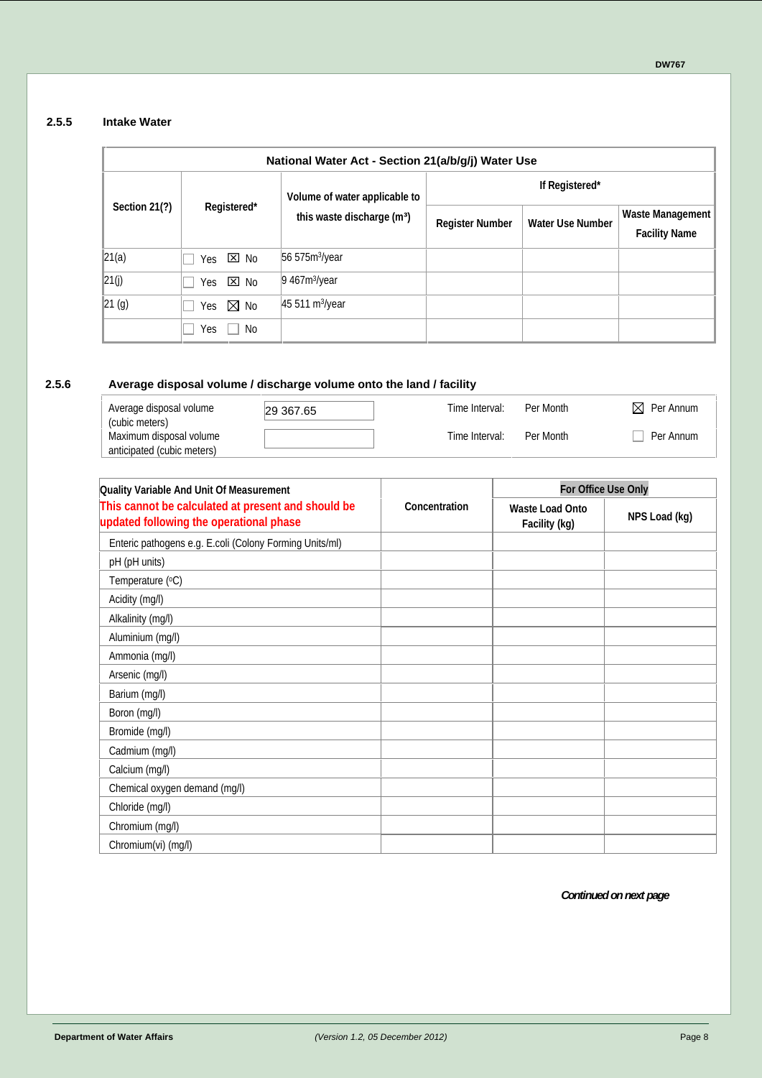#### **2.5.5 Intake Water**

| National Water Act - Section 21(a/b/g/j) Water Use |                    |                                        |                        |                         |                                                 |  |  |  |
|----------------------------------------------------|--------------------|----------------------------------------|------------------------|-------------------------|-------------------------------------------------|--|--|--|
|                                                    |                    | Volume of water applicable to          | If Registered*         |                         |                                                 |  |  |  |
| Section 21(?)                                      | Registered*        | this waste discharge (m <sup>3</sup> ) | <b>Register Number</b> | <b>Water Use Number</b> | <b>Waste Management</b><br><b>Facility Name</b> |  |  |  |
| 21(a)                                              | Yes $\Sigma$ No    | 56575m <sup>3</sup> /year              |                        |                         |                                                 |  |  |  |
| 21(j)                                              | ⊠No<br>Yes         | $9467m$ /year                          |                        |                         |                                                 |  |  |  |
| 21 (g)                                             | Yes $\boxtimes$ No | 45 511 m <sup>3</sup> /year            |                        |                         |                                                 |  |  |  |
|                                                    | Yes<br>No          |                                        |                        |                         |                                                 |  |  |  |

#### **2.5.6 Average disposal volume / discharge volume onto the land / facility**

| Average disposal volume                   | 29 367.65 | Time Interval: | Per Month | $\boxtimes$ Per Annum |  |
|-------------------------------------------|-----------|----------------|-----------|-----------------------|--|
| (cubic meters)<br>Maximum disposal volume |           | Time Interval: | Per Month | Per Annum             |  |
| anticipated (cubic meters)                |           |                |           |                       |  |

| Quality Variable And Unit Of Measurement                                                      |               | For Office Use Only                     |               |  |  |
|-----------------------------------------------------------------------------------------------|---------------|-----------------------------------------|---------------|--|--|
| This cannot be calculated at present and should be<br>updated following the operational phase | Concentration | <b>Waste Load Onto</b><br>Facility (kg) | NPS Load (kg) |  |  |
| Enteric pathogens e.g. E.coli (Colony Forming Units/m)                                        |               |                                         |               |  |  |
| pH (pH units)                                                                                 |               |                                         |               |  |  |
| Temperature (°C)                                                                              |               |                                         |               |  |  |
| Acidity (mg/l)                                                                                |               |                                         |               |  |  |
| Alkalinity (mg/l)                                                                             |               |                                         |               |  |  |
| Aluminium (mg/l)                                                                              |               |                                         |               |  |  |
| Ammonia (mg/l)                                                                                |               |                                         |               |  |  |
| Arsenic (mg/l)                                                                                |               |                                         |               |  |  |
| Barium (mg/l)                                                                                 |               |                                         |               |  |  |
| Boron (mg/l)                                                                                  |               |                                         |               |  |  |
| Bromide (mg/l)                                                                                |               |                                         |               |  |  |
| Cadmium (mg/l)                                                                                |               |                                         |               |  |  |
| Calcium (mg/l)                                                                                |               |                                         |               |  |  |
| Chemical oxygen demand (mg/l)                                                                 |               |                                         |               |  |  |
| Chloride (mg/l)                                                                               |               |                                         |               |  |  |
| Chromium (mg/l)                                                                               |               |                                         |               |  |  |
| Chromium(vi) (mg/l)                                                                           |               |                                         |               |  |  |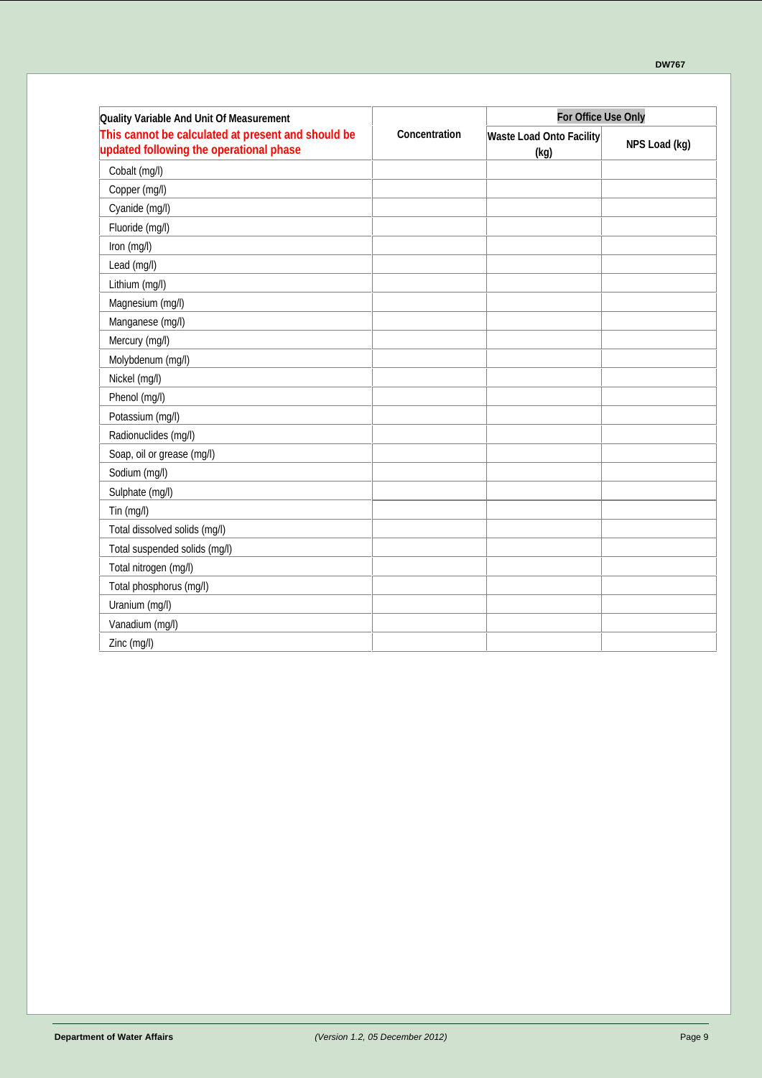| Quality Variable And Unit Of Measurement                                                      |               | For Office Use Only                     |               |  |  |
|-----------------------------------------------------------------------------------------------|---------------|-----------------------------------------|---------------|--|--|
| This cannot be calculated at present and should be<br>updated following the operational phase | Concentration | <b>Waste Load Onto Facility</b><br>(kg) | NPS Load (kg) |  |  |
| Cobalt (mg/l)                                                                                 |               |                                         |               |  |  |
| Copper (mg/l)                                                                                 |               |                                         |               |  |  |
| Cyanide (mg/l)                                                                                |               |                                         |               |  |  |
| Fluoride (mg/l)                                                                               |               |                                         |               |  |  |
| Iron (mg/l)                                                                                   |               |                                         |               |  |  |
| Lead (mg/l)                                                                                   |               |                                         |               |  |  |
| Lithium (mg/l)                                                                                |               |                                         |               |  |  |
| Magnesium (mg/l)                                                                              |               |                                         |               |  |  |
| Manganese (mg/l)                                                                              |               |                                         |               |  |  |
| Mercury (mg/l)                                                                                |               |                                         |               |  |  |
| Molybdenum (mg/l)                                                                             |               |                                         |               |  |  |
| Nickel (mg/l)                                                                                 |               |                                         |               |  |  |
| Phenol (mg/l)                                                                                 |               |                                         |               |  |  |
| Potassium (mg/l)                                                                              |               |                                         |               |  |  |
| Radionuclides (mg/l)                                                                          |               |                                         |               |  |  |
| Soap, oil or grease (mg/l)                                                                    |               |                                         |               |  |  |
| Sodium (mg/l)                                                                                 |               |                                         |               |  |  |
| Sulphate (mg/l)                                                                               |               |                                         |               |  |  |
| Tin (mg/l)                                                                                    |               |                                         |               |  |  |
| Total dissolved solids (mg/l)                                                                 |               |                                         |               |  |  |
| Total suspended solids (mg/l)                                                                 |               |                                         |               |  |  |
| Total nitrogen (mg/l)                                                                         |               |                                         |               |  |  |
| Total phosphorus (mg/l)                                                                       |               |                                         |               |  |  |
| Uranium (mg/l)                                                                                |               |                                         |               |  |  |
| Vanadium (mg/l)                                                                               |               |                                         |               |  |  |
| Zinc (mg/l)                                                                                   |               |                                         |               |  |  |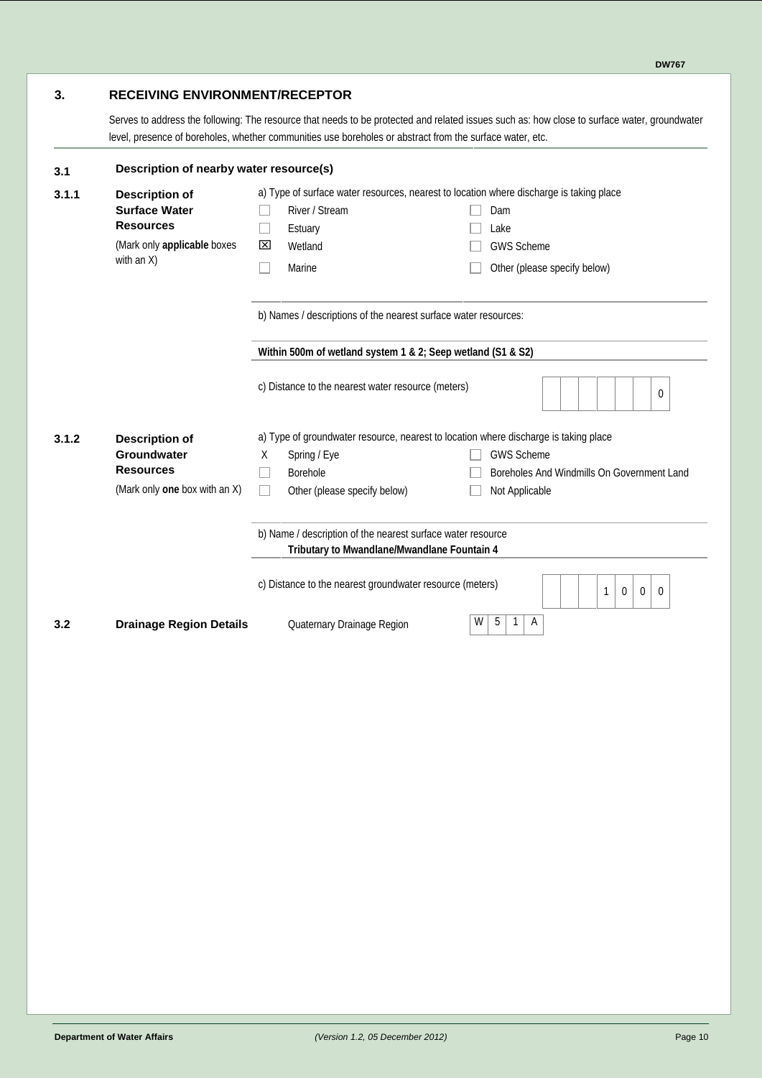#### **3. RECEIVING ENVIRONMENT/RECEPTOR**

Serves to address the following: The resource that needs to be protected and related issues such as: how close to surface water, groundwater level, presence of boreholes, whether communities use boreholes or abstract from the surface water, etc.

| 3.1   | Description of nearby water resource(s)                                                                           |                                                                                                                                                                                                                    |  |  |  |  |  |  |
|-------|-------------------------------------------------------------------------------------------------------------------|--------------------------------------------------------------------------------------------------------------------------------------------------------------------------------------------------------------------|--|--|--|--|--|--|
| 3.1.1 | <b>Description of</b><br><b>Surface Water</b><br><b>Resources</b><br>(Mark only applicable boxes<br>with an $X$ ) | a) Type of surface water resources, nearest to location where discharge is taking place<br>River / Stream<br>Dam<br>Estuary<br>Lake<br>Wetland<br><b>GWS Scheme</b><br>⊠<br>Marine<br>Other (please specify below) |  |  |  |  |  |  |
|       |                                                                                                                   | b) Names / descriptions of the nearest surface water resources:                                                                                                                                                    |  |  |  |  |  |  |
|       |                                                                                                                   | Within 500m of wetland system 1 & 2; Seep wetland (S1 & S2)                                                                                                                                                        |  |  |  |  |  |  |
|       |                                                                                                                   | c) Distance to the nearest water resource (meters)<br>$\Omega$                                                                                                                                                     |  |  |  |  |  |  |
| 3.1.2 | <b>Description of</b>                                                                                             | a) Type of groundwater resource, nearest to location where discharge is taking place                                                                                                                               |  |  |  |  |  |  |
|       | Groundwater                                                                                                       | <b>GWS Scheme</b><br>X<br>Spring / Eye                                                                                                                                                                             |  |  |  |  |  |  |
|       | <b>Resources</b>                                                                                                  | Borehole<br>Boreholes And Windmills On Government Land                                                                                                                                                             |  |  |  |  |  |  |
|       | (Mark only one box with an X)                                                                                     | Other (please specify below)<br>Not Applicable                                                                                                                                                                     |  |  |  |  |  |  |
|       |                                                                                                                   | b) Name / description of the nearest surface water resource<br>Tributary to Mwandlane/Mwandlane Fountain 4                                                                                                         |  |  |  |  |  |  |
|       |                                                                                                                   | c) Distance to the nearest groundwater resource (meters)<br>1<br>$\mathbf 0$<br>0<br>0                                                                                                                             |  |  |  |  |  |  |
| 3.2   | <b>Drainage Region Details</b>                                                                                    | W<br>5<br>$\overline{A}$<br>1<br>Quaternary Drainage Region                                                                                                                                                        |  |  |  |  |  |  |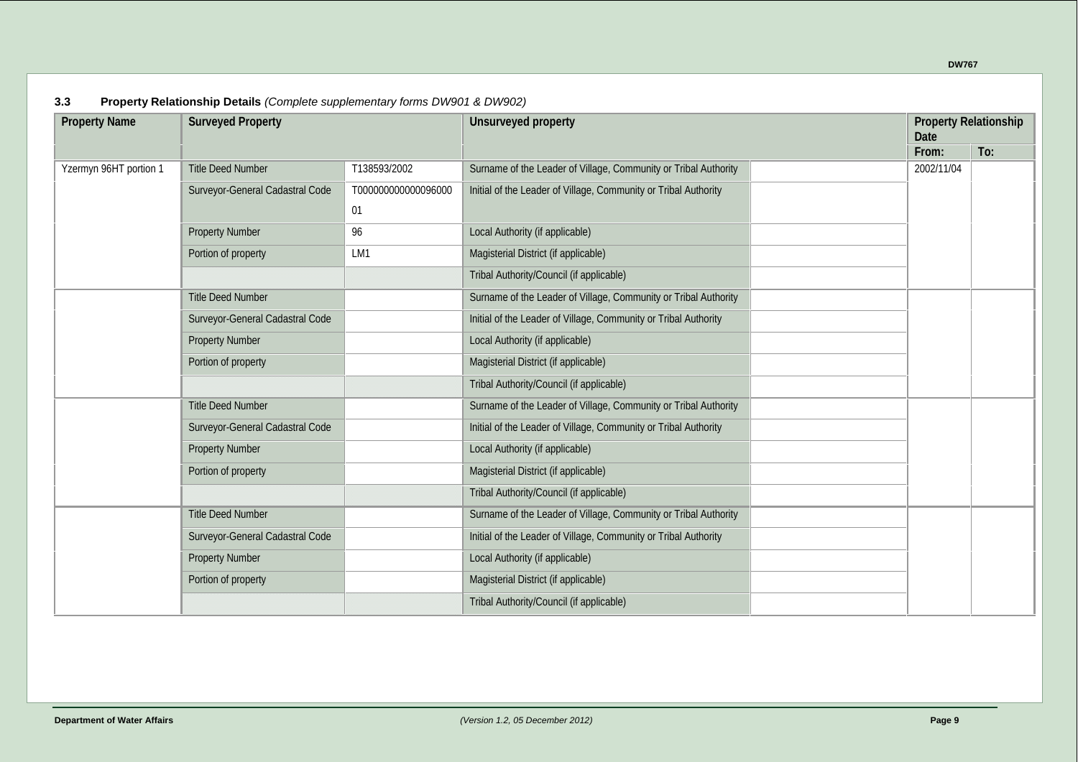**DW767**

| <b>Property Name</b>   | <b>Surveyed Property</b>        |                    | Unsurveyed property                                             |  | <b>Property Relationship</b><br>Date |     |  |
|------------------------|---------------------------------|--------------------|-----------------------------------------------------------------|--|--------------------------------------|-----|--|
|                        |                                 |                    |                                                                 |  | From:                                | To: |  |
| Yzermyn 96HT portion 1 | <b>Title Deed Number</b>        | T138593/2002       | Surname of the Leader of Village, Community or Tribal Authority |  | 2002/11/04                           |     |  |
|                        | Surveyor-General Cadastral Code | T00000000000096000 | Initial of the Leader of Village, Community or Tribal Authority |  |                                      |     |  |
|                        |                                 | 01                 |                                                                 |  |                                      |     |  |
|                        | <b>Property Number</b>          | 96                 | Local Authority (if applicable)                                 |  |                                      |     |  |
|                        | Portion of property             | LM1                | Magisterial District (if applicable)                            |  |                                      |     |  |
|                        |                                 |                    | Tribal Authority/Council (if applicable)                        |  |                                      |     |  |
|                        | <b>Title Deed Number</b>        |                    | Surname of the Leader of Village, Community or Tribal Authority |  |                                      |     |  |
|                        | Surveyor-General Cadastral Code |                    | Initial of the Leader of Village, Community or Tribal Authority |  |                                      |     |  |
|                        | <b>Property Number</b>          |                    | Local Authority (if applicable)                                 |  |                                      |     |  |
|                        | Portion of property             |                    | Magisterial District (if applicable)                            |  |                                      |     |  |
|                        |                                 |                    | Tribal Authority/Council (if applicable)                        |  |                                      |     |  |
|                        | <b>Title Deed Number</b>        |                    | Surname of the Leader of Village, Community or Tribal Authority |  |                                      |     |  |
|                        | Surveyor-General Cadastral Code |                    | Initial of the Leader of Village, Community or Tribal Authority |  |                                      |     |  |
|                        | <b>Property Number</b>          |                    | Local Authority (if applicable)                                 |  |                                      |     |  |
|                        | Portion of property             |                    | Magisterial District (if applicable)                            |  |                                      |     |  |
|                        |                                 |                    | Tribal Authority/Council (if applicable)                        |  |                                      |     |  |
|                        | <b>Title Deed Number</b>        |                    | Surname of the Leader of Village, Community or Tribal Authority |  |                                      |     |  |
|                        | Surveyor-General Cadastral Code |                    | Initial of the Leader of Village, Community or Tribal Authority |  |                                      |     |  |
|                        | <b>Property Number</b>          |                    | Local Authority (if applicable)                                 |  |                                      |     |  |
|                        | Portion of property             |                    | Magisterial District (if applicable)                            |  |                                      |     |  |
|                        |                                 |                    | Tribal Authority/Council (if applicable)                        |  |                                      |     |  |

#### **3.3 Property Relationship Details** *(Complete supplementary forms DW901 & DW902)*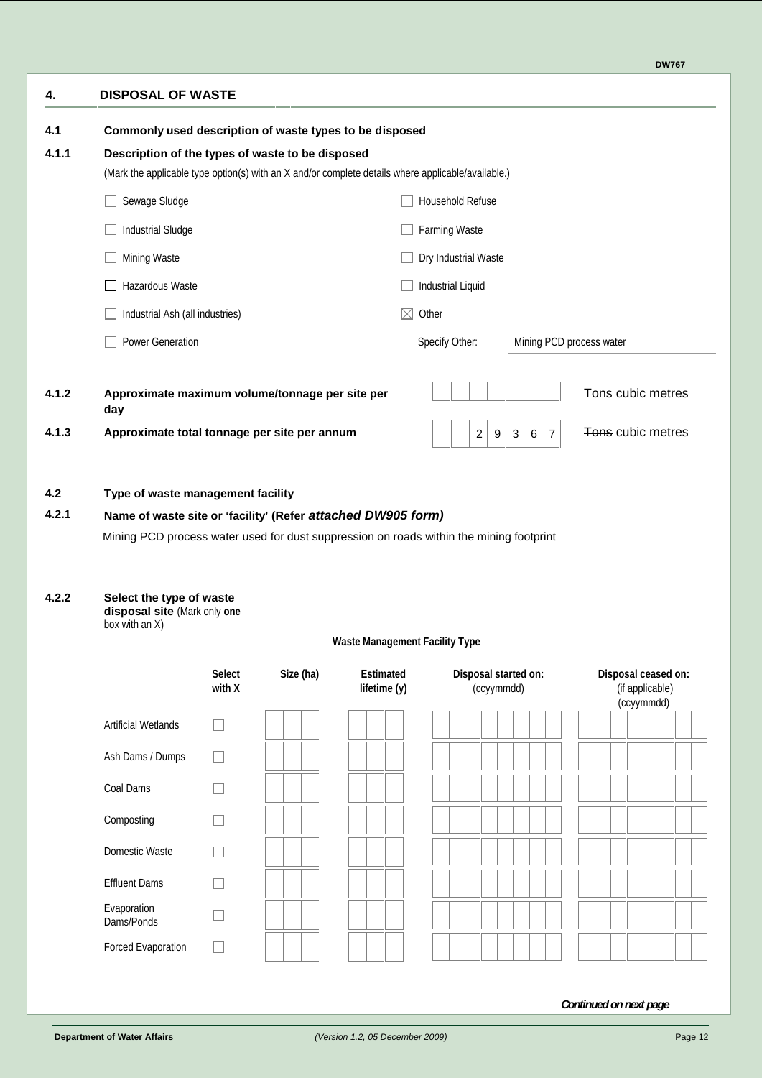| <b>DISPOSAL OF WASTE</b>                                                                                    |                         |           |                                       |                                             |                                                        |                                                      |  |
|-------------------------------------------------------------------------------------------------------------|-------------------------|-----------|---------------------------------------|---------------------------------------------|--------------------------------------------------------|------------------------------------------------------|--|
| Commonly used description of waste types to be disposed<br>Description of the types of waste to be disposed |                         |           |                                       |                                             |                                                        |                                                      |  |
| (Mark the applicable type option(s) with an X and/or complete details where applicable/available.)          |                         |           |                                       |                                             |                                                        |                                                      |  |
| Sewage Sludge                                                                                               |                         |           |                                       | <b>Household Refuse</b>                     |                                                        |                                                      |  |
| <b>Industrial Sludge</b>                                                                                    |                         |           |                                       | <b>Farming Waste</b>                        |                                                        |                                                      |  |
| Mining Waste                                                                                                |                         |           |                                       | Dry Industrial Waste                        |                                                        |                                                      |  |
| <b>Hazardous Waste</b>                                                                                      |                         |           |                                       | <b>Industrial Liquid</b>                    |                                                        |                                                      |  |
| Industrial Ash (all industries)                                                                             |                         |           | $\boxtimes$                           | Other                                       |                                                        |                                                      |  |
| Power Generation                                                                                            |                         |           |                                       | Specify Other:                              |                                                        | Mining PCD process water                             |  |
| Approximate maximum volume/tonnage per site per<br>day                                                      |                         |           |                                       |                                             |                                                        | Tons cubic metres                                    |  |
| Approximate total tonnage per site per annum                                                                |                         |           |                                       | $\overline{\mathbf{c}}$<br>$\boldsymbol{9}$ | $\ensuremath{\mathsf{3}}$<br>$\,6\,$<br>$\overline{7}$ | Tons cubic metres                                    |  |
| Select the type of waste<br>disposal site (Mark only one<br>box with an $X$ )                               |                         |           |                                       |                                             |                                                        |                                                      |  |
|                                                                                                             |                         |           | <b>Waste Management Facility Type</b> |                                             |                                                        |                                                      |  |
|                                                                                                             | <b>Select</b><br>with X | Size (ha) | <b>Estimated</b><br>lifetime (y)      | Disposal started on:<br>(ccyymmdd)          |                                                        | Disposal ceased on:<br>(if applicable)<br>(ccyymmdd) |  |
| <b>Artificial Wetlands</b>                                                                                  |                         |           |                                       |                                             |                                                        |                                                      |  |
| Ash Dams / Dumps                                                                                            |                         |           |                                       |                                             |                                                        |                                                      |  |
| Coal Dams                                                                                                   |                         |           |                                       |                                             |                                                        |                                                      |  |
| Composting                                                                                                  |                         |           |                                       |                                             |                                                        |                                                      |  |
| Domestic Waste                                                                                              |                         |           |                                       |                                             |                                                        |                                                      |  |
|                                                                                                             |                         |           |                                       |                                             |                                                        |                                                      |  |
|                                                                                                             |                         |           |                                       |                                             |                                                        |                                                      |  |
| <b>Effluent Dams</b>                                                                                        |                         |           |                                       |                                             |                                                        |                                                      |  |
| Evaporation<br>Dams/Ponds                                                                                   |                         |           |                                       |                                             |                                                        |                                                      |  |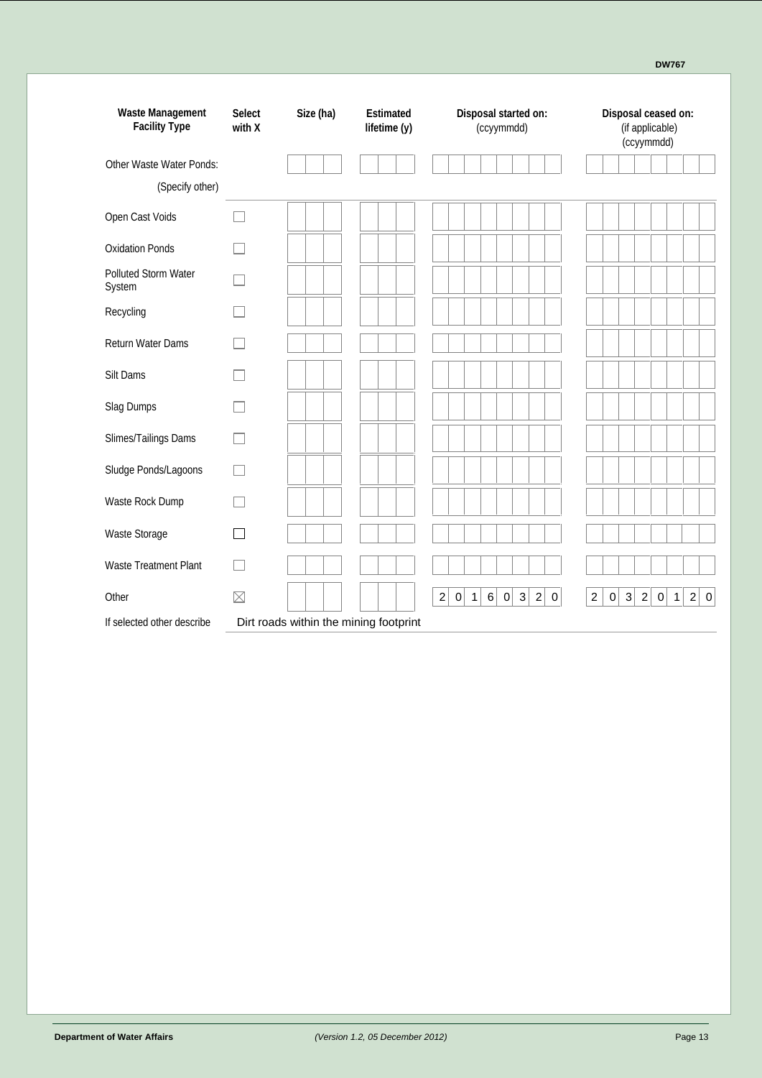| <b>Waste Management</b><br><b>Facility Type</b> | <b>Select</b><br>with X  | Size (ha)                              | <b>Estimated</b><br>lifetime (y) | Disposal started on:<br>(ccyymmdd)                                                   | Disposal ceased on:<br>(if applicable)<br>(ccyymmdd)                                                                           |
|-------------------------------------------------|--------------------------|----------------------------------------|----------------------------------|--------------------------------------------------------------------------------------|--------------------------------------------------------------------------------------------------------------------------------|
| <b>Other Waste Water Ponds:</b>                 |                          |                                        |                                  |                                                                                      |                                                                                                                                |
| (Specify other)                                 |                          |                                        |                                  |                                                                                      |                                                                                                                                |
| Open Cast Voids                                 | П                        |                                        |                                  |                                                                                      |                                                                                                                                |
| <b>Oxidation Ponds</b>                          | H                        |                                        |                                  |                                                                                      |                                                                                                                                |
| <b>Polluted Storm Water</b><br>System           |                          |                                        |                                  |                                                                                      |                                                                                                                                |
| Recyding                                        |                          |                                        |                                  |                                                                                      |                                                                                                                                |
| <b>Return Water Dams</b>                        |                          |                                        |                                  |                                                                                      |                                                                                                                                |
| Silt Dams                                       | $\overline{\phantom{a}}$ |                                        |                                  |                                                                                      |                                                                                                                                |
| Slag Dumps                                      |                          |                                        |                                  |                                                                                      |                                                                                                                                |
| Slimes/Tailings Dams                            | $\mathbf{I}$             |                                        |                                  |                                                                                      |                                                                                                                                |
| Sludge Ponds/Lagoons                            | П                        |                                        |                                  |                                                                                      |                                                                                                                                |
| <b>Waste Rock Dump</b>                          |                          |                                        |                                  |                                                                                      |                                                                                                                                |
| <b>Waste Storage</b>                            | П                        |                                        |                                  |                                                                                      |                                                                                                                                |
| <b>Waste Treatment Plant</b>                    |                          |                                        |                                  |                                                                                      |                                                                                                                                |
| Other                                           | $\boxtimes$              |                                        |                                  | 2<br>6<br>$\mathbf 0$<br>3<br>$\boldsymbol{2}$<br> 0 <br>$\mathbf{1}$<br>$\mathbf 0$ | $\overline{c}$<br>$\pmb{0}$<br>$\vert 3 \vert$<br>$\mathbf{2}$<br>$\overline{c}$<br>$\mathbf 0$<br>$\mathbf 0$<br>$\mathbf{1}$ |
| If selected other describe                      |                          | Dirt roads within the mining footprint |                                  |                                                                                      |                                                                                                                                |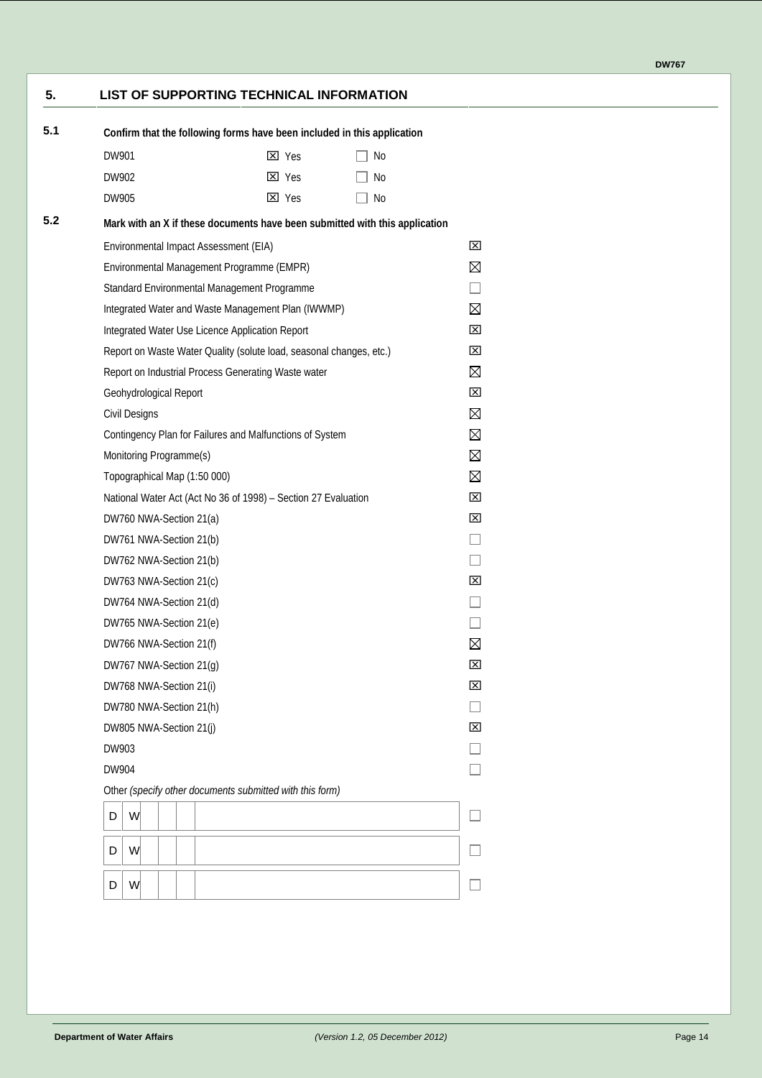#### **5. LIST OF SUPPORTING TECHNICAL INFORMATION**

| 5.1 |                              |                                                     | Confirm that the following forms have been included in this application |                                                                             |                          |
|-----|------------------------------|-----------------------------------------------------|-------------------------------------------------------------------------|-----------------------------------------------------------------------------|--------------------------|
|     | DW901                        |                                                     | $\boxtimes$ Yes                                                         | $\Box$ No                                                                   |                          |
|     | DW902                        |                                                     | <b>X</b> Yes                                                            | No.                                                                         |                          |
|     | DW905                        |                                                     | <b>X</b> Yes                                                            | No.                                                                         |                          |
| 5.2 |                              |                                                     |                                                                         | Mark with an X if these documents have been submitted with this application |                          |
|     |                              | Environmental Impact Assessment (EIA)               |                                                                         |                                                                             | ⊠                        |
|     |                              | Environmental Management Programme (EMPR)           |                                                                         |                                                                             | $\boxtimes$              |
|     |                              | Standard Environmental Management Programme         |                                                                         |                                                                             |                          |
|     |                              |                                                     | Integrated Water and Waste Management Plan (IVWMP)                      |                                                                             | $\boxtimes$              |
|     |                              | Integrated Water Use Licence Application Report     |                                                                         |                                                                             | ⊠                        |
|     |                              |                                                     | Report on Waste Water Quality (solute load, seasonal changes, etc.)     |                                                                             | ⊠                        |
|     |                              | Report on Industrial Process Generating Waste water |                                                                         |                                                                             | $\boxtimes$              |
|     | Geohydrological Report       |                                                     |                                                                         |                                                                             | ⊠                        |
|     | Civil Designs                |                                                     |                                                                         |                                                                             | $\boxtimes$              |
|     |                              |                                                     | Contingency Plan for Failures and Malfunctions of System                |                                                                             | ⊠                        |
|     | Monitoring Programme(s)      |                                                     |                                                                         |                                                                             | $\boxtimes$              |
|     | Topographical Map (1:50 000) |                                                     |                                                                         |                                                                             | ⊠                        |
|     |                              |                                                     | National Water Act (Act No 36 of 1998) - Section 27 Evaluation          |                                                                             | ⊠                        |
|     | DW760 NWA-Section 21(a)      |                                                     |                                                                         |                                                                             | ⊠                        |
|     | DW761 NWA-Section 21(b)      |                                                     |                                                                         |                                                                             |                          |
|     | DW762 NWA-Section 21(b)      |                                                     |                                                                         |                                                                             | $\overline{\phantom{a}}$ |
|     | DW763 NWA-Section 21(c)      |                                                     |                                                                         |                                                                             | ⊠                        |
|     | DW764 NWA-Section 21(d)      |                                                     |                                                                         |                                                                             | $\Box$                   |
|     | DW765 NWA-Section 21(e)      |                                                     |                                                                         |                                                                             |                          |
|     | DW766 NWA-Section 21(f)      |                                                     |                                                                         |                                                                             | $\boxtimes$              |
|     | DW767 NWA-Section 21(g)      |                                                     |                                                                         |                                                                             | ⊠                        |
|     | DW768 NWA-Section 21(i)      |                                                     |                                                                         |                                                                             | ⊠                        |
|     | DW780 NWA-Section 21(h)      |                                                     |                                                                         |                                                                             |                          |
|     | DW805 NWA-Section 21(j)      |                                                     |                                                                         |                                                                             | ⊠                        |
|     | DW903                        |                                                     |                                                                         |                                                                             |                          |
|     | DW904                        |                                                     |                                                                         |                                                                             |                          |
|     |                              |                                                     | Other (specify other documents submitted with this form)                |                                                                             |                          |
|     | W<br>D                       |                                                     |                                                                         |                                                                             |                          |
|     | W<br>D                       |                                                     |                                                                         |                                                                             |                          |
|     |                              |                                                     |                                                                         |                                                                             |                          |
|     | W<br>D                       |                                                     |                                                                         |                                                                             |                          |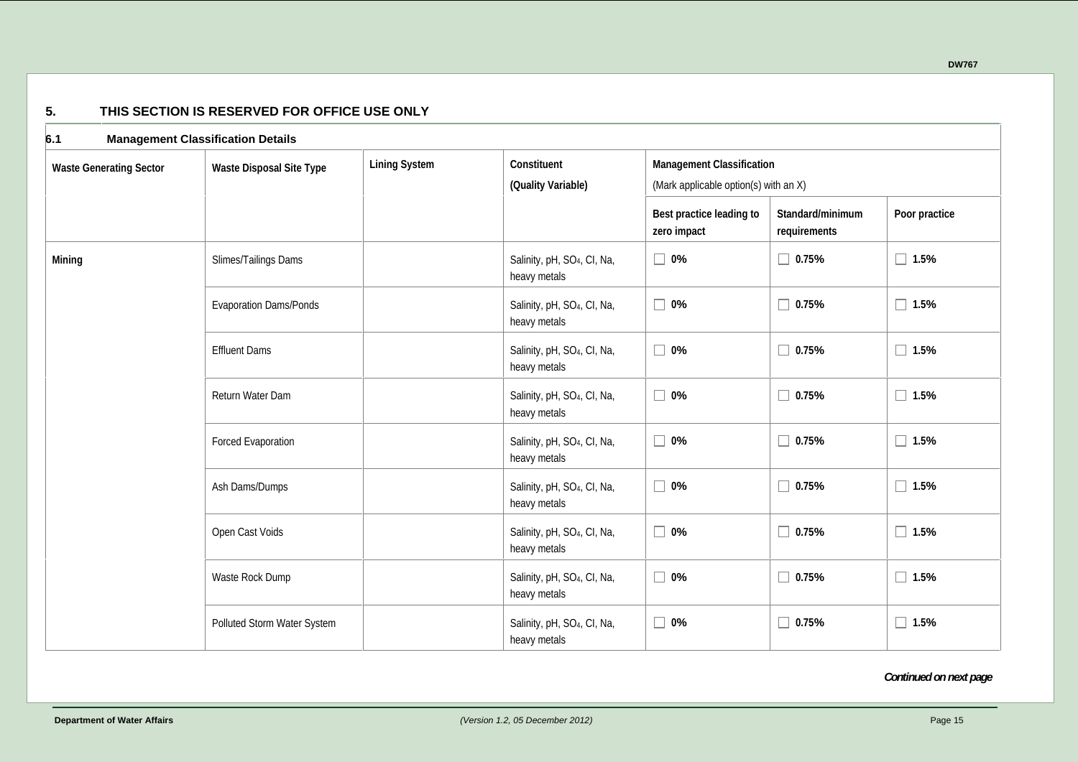| 6.1                            | <b>Management Classification Details</b>                |                      |                                                         |                                                                           |                                  |                |  |  |  |  |
|--------------------------------|---------------------------------------------------------|----------------------|---------------------------------------------------------|---------------------------------------------------------------------------|----------------------------------|----------------|--|--|--|--|
| <b>Waste Generating Sector</b> | <b>Waste Disposal Site Type</b>                         | <b>Lining System</b> | Constituent<br>(Quality Variable)                       | <b>Management Classification</b><br>(Mark applicable option(s) with an X) |                                  |                |  |  |  |  |
|                                |                                                         |                      |                                                         | Best practice leading to<br>zero impact                                   | Standard/minimum<br>requirements | Poor practice  |  |  |  |  |
| <b>Mining</b>                  | Slimes/Tailings Dams                                    |                      | Salinity, pH, SO <sub>4</sub> , CI, Na,<br>heavy metals | $\Box$<br>0%                                                              | $\Box$ 0.75%                     | $\Box$ 1.5%    |  |  |  |  |
|                                | <b>Evaporation Dams/Ponds</b>                           |                      | Salinity, pH, SO <sub>4</sub> , CI, Na,<br>heavy metals | $\Box$<br>$0\%$                                                           | $\Box$ 0.75%                     | $\Box$ 1.5%    |  |  |  |  |
| <b>Effluent Dams</b>           | Salinity, pH, SO <sub>4</sub> , CI, Na,<br>heavy metals | $\Box$<br>$0\%$      | $\Box$ 0.75%                                            | $\Box$ 1.5%                                                               |                                  |                |  |  |  |  |
|                                | Return Water Dam                                        |                      | Salinity, pH, SO <sub>4</sub> , CI, Na,<br>heavy metals | $\Box$<br>$0\%$                                                           | $\Box$ 0.75%                     | $\Box$ 1.5%    |  |  |  |  |
|                                | Forced Evaporation                                      |                      | Salinity, pH, SO <sub>4</sub> , CI, Na,<br>heavy metals | $\Box$<br>0%                                                              | $\Box$ 0.75%                     | $\Box$ 1.5%    |  |  |  |  |
|                                | Ash Dams/Dumps                                          |                      | Salinity, pH, SO <sub>4</sub> , CI, Na,<br>heavy metals | $\Box$<br>0%                                                              | $\Box$ 0.75%                     | 1.5%<br>П      |  |  |  |  |
|                                | Open Cast Voids                                         |                      | Salinity, pH, SO <sub>4</sub> , CI, Na,<br>heavy metals | $\Box$<br>$0\%$                                                           | $\Box$ 0.75%                     | $\Box$ 1.5%    |  |  |  |  |
|                                | <b>Waste Rock Dump</b>                                  |                      | Salinity, pH, SO <sub>4</sub> , CI, Na,<br>heavy metals | $\Box$<br>0%                                                              | $\Box$ 0.75%                     | $\Box$ 1.5%    |  |  |  |  |
|                                | Polluted Storm Water System                             |                      | Salinity, pH, SO <sub>4</sub> , CI, Na,<br>heavy metals | $\Box$<br>0%                                                              | $\Box$ 0.75%                     | 1.5%<br>$\Box$ |  |  |  |  |

#### **5. THIS SECTION IS RESERVED FOR OFFICE USE ONLY**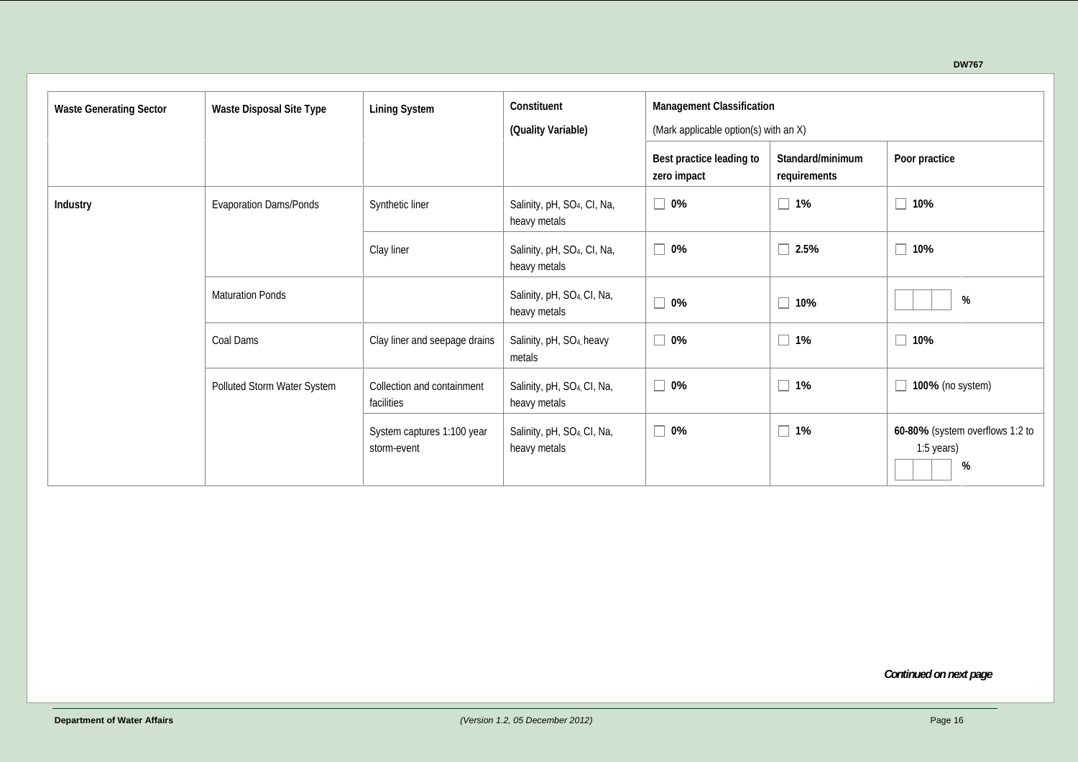| <b>Waste Generating Sector</b> | <b>Waste Disposal Site Type</b>                                                                                      | <b>Lining System</b>          | Constituent<br>(Quality Variable)                       | <b>Management Classification</b><br>(Mark applicable option(s) with an X) |                                  |                                                    |  |  |  |  |  |  |
|--------------------------------|----------------------------------------------------------------------------------------------------------------------|-------------------------------|---------------------------------------------------------|---------------------------------------------------------------------------|----------------------------------|----------------------------------------------------|--|--|--|--|--|--|
|                                |                                                                                                                      |                               |                                                         | Best practice leading to<br>zero impact                                   | Standard/minimum<br>requirements | Poor practice                                      |  |  |  |  |  |  |
| Industry                       | <b>Evaporation Dams/Ponds</b>                                                                                        | Synthetic liner               | Salinity, pH, SO <sub>4</sub> , CI, Na,<br>heavy metals | 0%                                                                        | 1%                               | $\Box$<br>10%                                      |  |  |  |  |  |  |
|                                |                                                                                                                      | Clay liner                    | Salinity, pH, SO <sub>4</sub> , CI, Na,<br>heavy metals | 0%                                                                        | 2.5%                             | $\Box$ 10%                                         |  |  |  |  |  |  |
|                                | <b>Maturation Ponds</b>                                                                                              |                               | Salinity, pH, SO <sub>4</sub> , CI, Na,<br>heavy metals | 0%                                                                        | 10%                              | $\%$                                               |  |  |  |  |  |  |
|                                | Coal Dams                                                                                                            | Clay liner and seepage drains | Salinity, pH, SO <sub>4</sub> , heavy<br>metals         | 0%                                                                        | $\Box$ 1%                        | $\Box$ 10%                                         |  |  |  |  |  |  |
|                                | Polluted Storm Water System<br>Collection and containment<br>facilities<br>System captures 1:100 year<br>storm-event |                               | Salinity, pH, SO <sub>4</sub> , CI, Na,<br>heavy metals | 0%                                                                        | $\Box$ 1%                        | <b>100%</b> (no system)                            |  |  |  |  |  |  |
|                                |                                                                                                                      |                               | Salinity, pH, SO <sub>4</sub> , CI, Na,<br>heavy metals | 0%                                                                        | $1\%$                            | 60-80% (system overflows 1:2 to<br>1:5 years)<br>% |  |  |  |  |  |  |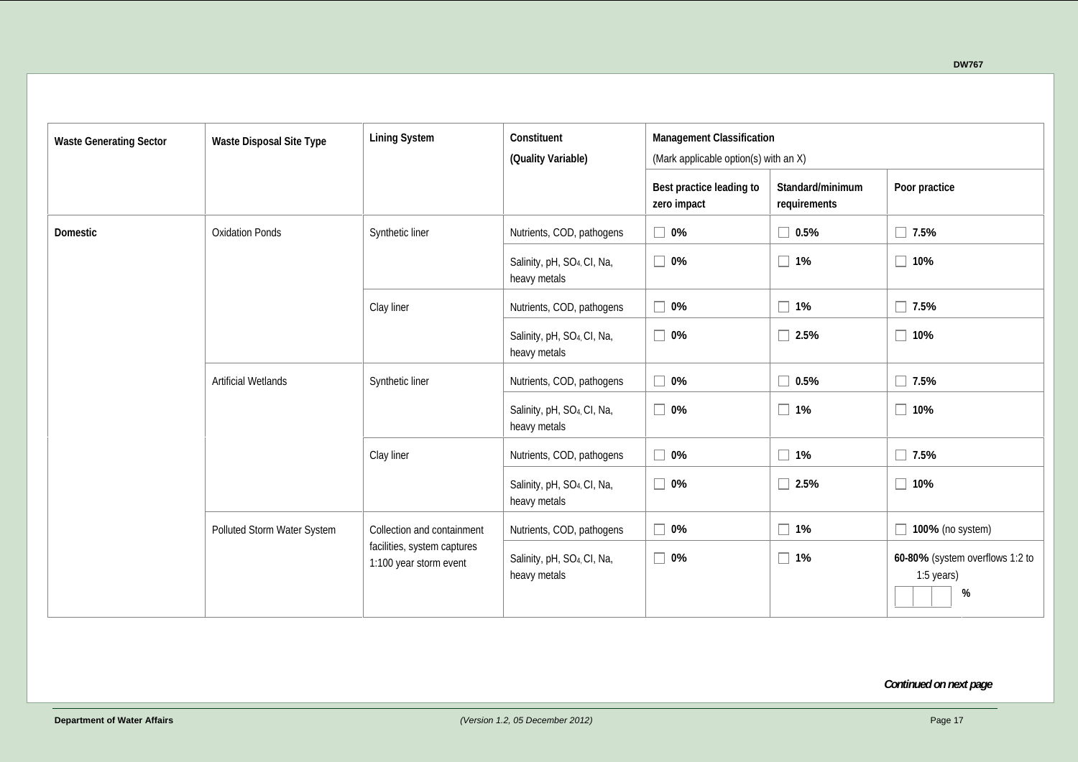| <b>Waste Generating Sector</b> | <b>Waste Disposal Site Type</b> | <b>Lining System</b>                                  | Constituent<br>(Quality Variable)                       | <b>Management Classification</b><br>(Mark applicable option(s) with an X) |                                  |                                                    |
|--------------------------------|---------------------------------|-------------------------------------------------------|---------------------------------------------------------|---------------------------------------------------------------------------|----------------------------------|----------------------------------------------------|
|                                |                                 |                                                       |                                                         | Best practice leading to<br>zero impact                                   | Standard/minimum<br>requirements | Poor practice                                      |
| <b>Domestic</b>                | <b>Oxidation Ponds</b>          | Synthetic liner                                       | Nutrients, COD, pathogens                               | 0%<br>Г                                                                   | 0.5%                             | 7.5%                                               |
|                                |                                 |                                                       | Salinity, pH, SO <sub>4</sub> , CI, Na,<br>heavy metals | 0%<br>Г                                                                   | 1%<br>П                          | 10%                                                |
|                                |                                 | Clay liner                                            |                                                         | 0%<br>Г                                                                   | 1%<br>$\Box$                     | 7.5%                                               |
|                                |                                 |                                                       | Salinity, pH, SO <sub>4</sub> , CI, Na,<br>heavy metals | 0%<br>Г                                                                   | 2.5%                             | 10%                                                |
|                                | <b>Artificial Wetlands</b>      | Synthetic liner                                       | Nutrients, COD, pathogens                               | 0%<br>L                                                                   | 0.5%                             | 7.5%                                               |
|                                |                                 |                                                       | Salinity, pH, SO <sub>4</sub> , CI, Na,<br>heavy metals | $\vert$ 0%<br>г                                                           | 1%<br>$\Box$                     | 10%                                                |
|                                |                                 | Clay liner                                            | Nutrients, COD, pathogens                               | 0%<br>Г                                                                   | $1\%$                            | 7.5%                                               |
|                                |                                 |                                                       | Salinity, pH, SO <sub>4</sub> , CI, Na,<br>heavy metals | $\vert$ 0%<br>П                                                           | 2.5%                             | 10%                                                |
| Polluted Storm Water System    |                                 | Collection and containment                            | Nutrients, COD, pathogens                               | 0%                                                                        | $1\%$                            | 100% (no system)                                   |
|                                |                                 | facilities, system captures<br>1:100 year storm event | Salinity, pH, SO <sub>4</sub> , CI, Na,<br>heavy metals | $\Box$ 0%                                                                 | 1%<br>$\Box$                     | 60-80% (system overflows 1:2 to<br>1:5 years)<br>% |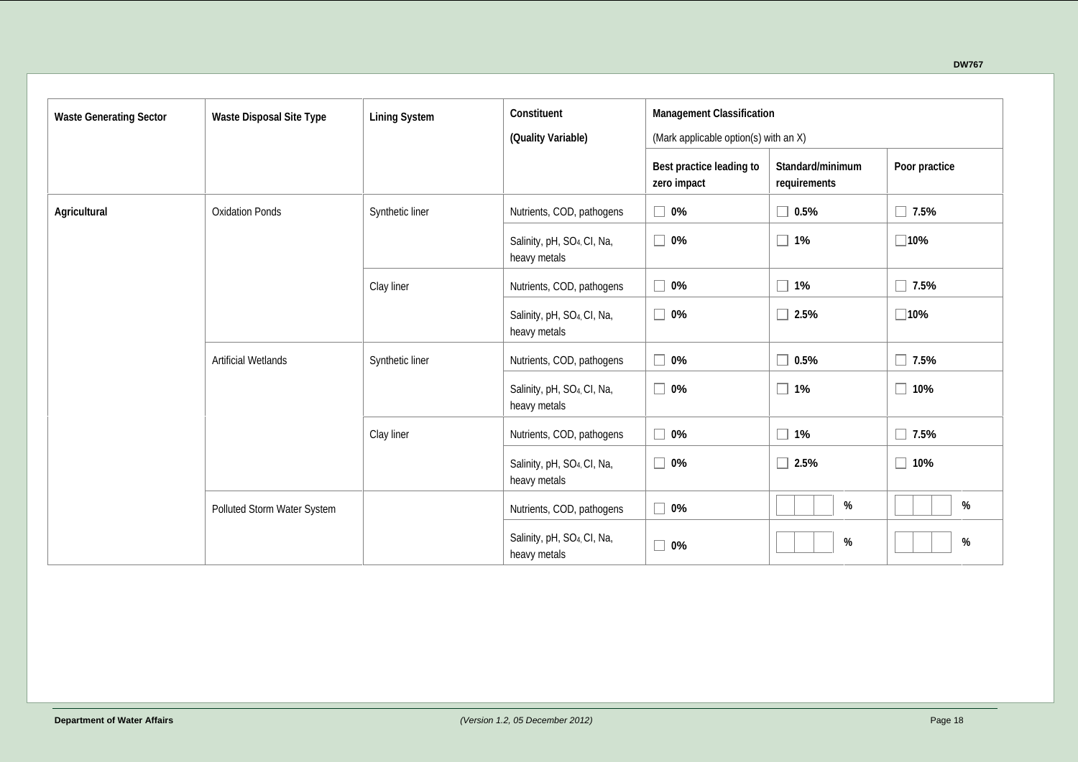| <b>Waste Generating Sector</b> | <b>Waste Disposal Site Type</b>    | <b>Lining System</b> | Constituent                                             | <b>Management Classification</b>        |                                  |               |  |  |  |  |  |  |  |
|--------------------------------|------------------------------------|----------------------|---------------------------------------------------------|-----------------------------------------|----------------------------------|---------------|--|--|--|--|--|--|--|
|                                |                                    |                      | (Quality Variable)                                      | (Mark applicable option(s) with an X)   |                                  |               |  |  |  |  |  |  |  |
|                                |                                    |                      |                                                         | Best practice leading to<br>zero impact | Standard/minimum<br>requirements | Poor practice |  |  |  |  |  |  |  |
| <b>Agricultural</b>            | <b>Oxidation Ponds</b>             | Synthetic liner      | Nutrients, COD, pathogens                               | $\Box$ 0%                               | $\Box$ 0.5%                      | $\Box$ 7.5%   |  |  |  |  |  |  |  |
|                                |                                    |                      | Salinity, pH, SO <sub>4</sub> , CI, Na,<br>heavy metals | $\Box$<br>0%                            | $\Box$ 1%                        | $\square$ 10% |  |  |  |  |  |  |  |
|                                |                                    | Clay liner           | Nutrients, COD, pathogens                               | $\Box$<br>0%                            | $\Box$ 1%                        | $\Box$ 7.5%   |  |  |  |  |  |  |  |
|                                |                                    |                      | Salinity, pH, SO <sub>4</sub> , CI, Na,<br>heavy metals | $\Box$ 0%                               | $\Box$ 2.5%                      | $\square$ 10% |  |  |  |  |  |  |  |
|                                | <b>Artificial Wetlands</b>         | Synthetic liner      | Nutrients, COD, pathogens                               | $\Box$<br>0%                            | $\Box$ 0.5%                      | $\Box$ 7.5%   |  |  |  |  |  |  |  |
|                                |                                    |                      | Salinity, pH, SO <sub>4</sub> , CI, Na,<br>heavy metals | $\Box$<br>0%                            | $\Box$ 1%                        | $\Box$ 10%    |  |  |  |  |  |  |  |
|                                |                                    | Clay liner           | Nutrients, COD, pathogens                               | $\Box$ 0%                               | $\Box$ 1%                        | $\Box$ 7.5%   |  |  |  |  |  |  |  |
|                                |                                    |                      | Salinity, pH, SO <sub>4</sub> , CI, Na,<br>heavy metals | $\Box$<br>0%                            | $\Box$ 2.5%                      | $\Box$ 10%    |  |  |  |  |  |  |  |
|                                | <b>Polluted Storm Water System</b> |                      | Nutrients, COD, pathogens                               | $\Box$ 0%                               | %                                | $\%$          |  |  |  |  |  |  |  |
|                                |                                    |                      | Salinity, pH, SO <sub>4</sub> CI, Na,<br>heavy metals   | $\Box$<br>0%                            | $\%$                             | $\%$          |  |  |  |  |  |  |  |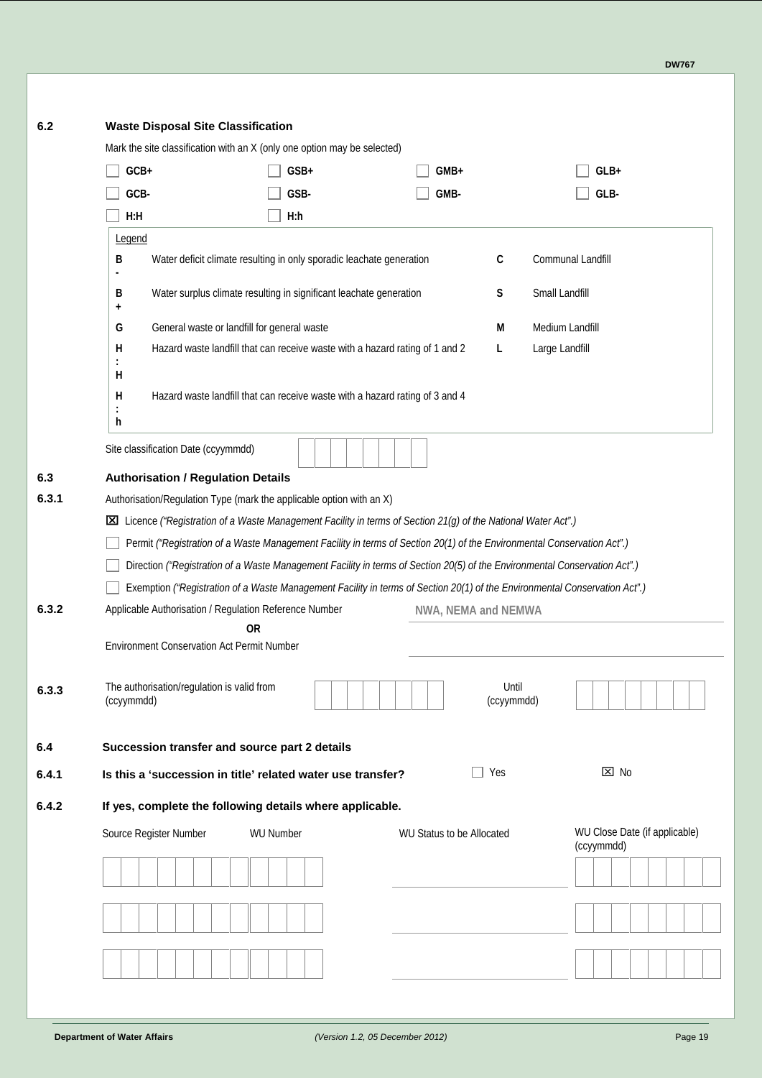| 6.2   | <b>Waste Disposal Site Classification</b>                                                                                  |                                                                              |                                  |                      |                                                    |
|-------|----------------------------------------------------------------------------------------------------------------------------|------------------------------------------------------------------------------|----------------------------------|----------------------|----------------------------------------------------|
|       | Mark the site classification with an X (only one option may be selected)                                                   |                                                                              |                                  |                      |                                                    |
|       | GCB+                                                                                                                       | GSB+                                                                         | <b>GMB+</b>                      |                      | $GLB+$                                             |
|       | <b>GCB-</b>                                                                                                                | <b>GSB-</b>                                                                  | <b>GMB-</b>                      |                      | <b>GLB-</b>                                        |
|       | H:H                                                                                                                        | <b>H</b> :h                                                                  |                                  |                      |                                                    |
|       | Legend                                                                                                                     |                                                                              |                                  |                      |                                                    |
|       | В                                                                                                                          | Water deficit climate resulting in only sporadic leachate generation         |                                  | C                    | Communal Landfill                                  |
|       | В<br>٠                                                                                                                     | Water surplus climate resulting in significant leachate generation           |                                  | Small Landfill<br>S  |                                                    |
|       | General waste or landfill for general waste<br>G                                                                           |                                                                              |                                  | Medium Landfill<br>М |                                                    |
|       | н                                                                                                                          | Hazard waste landfill that can receive waste with a hazard rating of 1 and 2 |                                  | L<br>Large Landfill  |                                                    |
|       | н                                                                                                                          |                                                                              |                                  |                      |                                                    |
|       | н                                                                                                                          | Hazard waste landfill that can receive waste with a hazard rating of 3 and 4 |                                  |                      |                                                    |
|       | ÷<br>h                                                                                                                     |                                                                              |                                  |                      |                                                    |
|       | Site classification Date (ccyymmdd)                                                                                        |                                                                              |                                  |                      |                                                    |
| 6.3   | <b>Authorisation / Regulation Details</b>                                                                                  |                                                                              |                                  |                      |                                                    |
| 6.3.1 | Authorisation/Regulation Type (mark the applicable option with an X)                                                       |                                                                              |                                  |                      |                                                    |
|       | [X] Licence ("Registration of a Waste Management Facility in terms of Section 21(g) of the National Water Act".)           |                                                                              |                                  |                      |                                                    |
|       | Permit ("Registration of a Waste Management Facility in terms of Section 20(1) of the Environmental Conservation Act".)    |                                                                              |                                  |                      |                                                    |
|       | Direction ("Registration of a Waste Management Facility in terms of Section 20(5) of the Environmental Conservation Act".) |                                                                              |                                  |                      |                                                    |
|       | Exemption ("Registration of a Waste Management Facility in terms of Section 20(1) of the Environmental Conservation Act".) |                                                                              |                                  |                      |                                                    |
| 6.3.2 | Applicable Authorisation / Regulation Reference Number<br><b>OR</b>                                                        |                                                                              | NWA, NEMA and NEMWA              |                      |                                                    |
|       | <b>Environment Conservation Act Permit Number</b>                                                                          |                                                                              |                                  |                      |                                                    |
|       |                                                                                                                            |                                                                              |                                  |                      |                                                    |
| 6.3.3 | The authorisation/regulation is valid from<br>(ccyymmdd)                                                                   |                                                                              |                                  | Until<br>(ccyymmdd)  |                                                    |
| 6.4   | Succession transfer and source part 2 details                                                                              |                                                                              |                                  |                      |                                                    |
| 6.4.1 | Is this a 'succession in title' related water use transfer?                                                                |                                                                              | Yes                              |                      | $\boxtimes$ No                                     |
| 6.4.2 | If yes, complete the following details where applicable.                                                                   |                                                                              |                                  |                      |                                                    |
|       | Source Register Number                                                                                                     | <b>WU Number</b>                                                             | <b>WU Status to be Allocated</b> |                      | <b>WU Close Date (if applicable)</b><br>(ccyymmdd) |
|       |                                                                                                                            |                                                                              |                                  |                      |                                                    |
|       |                                                                                                                            |                                                                              |                                  |                      |                                                    |
|       |                                                                                                                            |                                                                              |                                  |                      |                                                    |
|       |                                                                                                                            |                                                                              |                                  |                      |                                                    |
|       |                                                                                                                            |                                                                              |                                  |                      |                                                    |
|       |                                                                                                                            |                                                                              |                                  |                      |                                                    |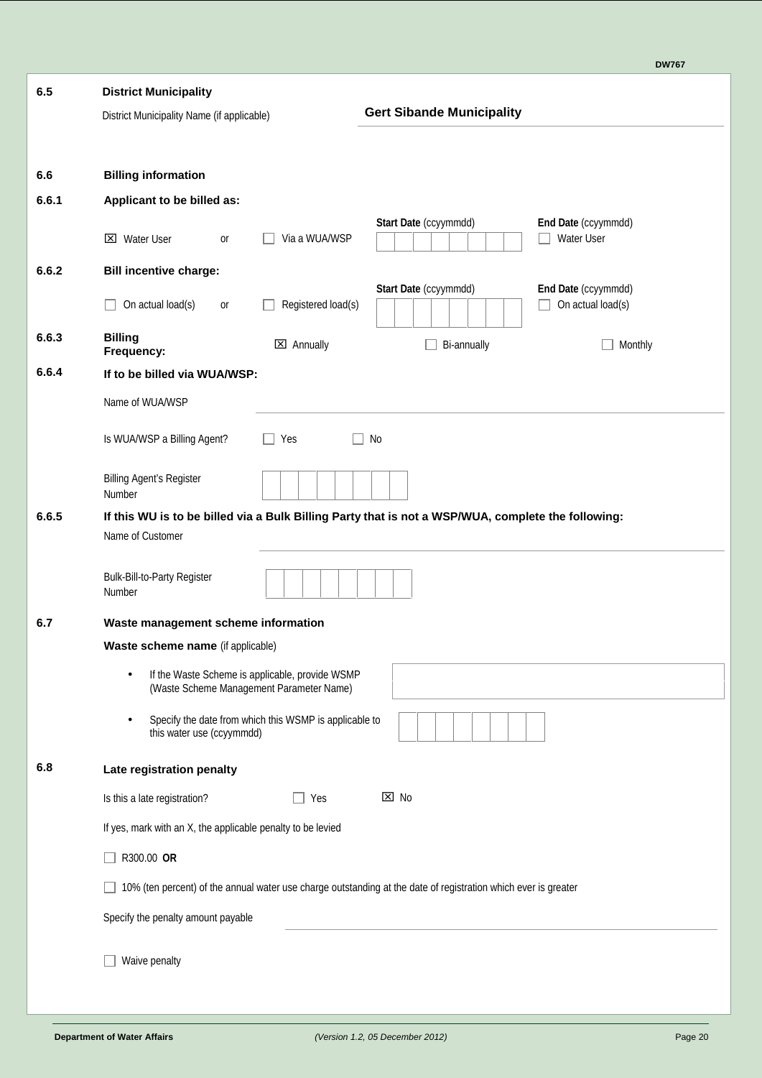| <b>DW767</b> |
|--------------|
|--------------|

| 6.5   | <b>District Municipality</b>                                                                                           |
|-------|------------------------------------------------------------------------------------------------------------------------|
|       | <b>Gert Sibande Municipality</b><br>District Municipality Name (if applicable)                                         |
|       |                                                                                                                        |
| 6.6   | <b>Billing information</b>                                                                                             |
| 6.6.1 | Applicant to be billed as:                                                                                             |
|       | Start Date (ccyymmdd)<br><b>End Date (ccyymmdd)</b><br><b>Water User</b><br>Via a WUA/WSP<br><b>X</b> Water User<br>or |
| 6.6.2 | <b>Bill incentive charge:</b>                                                                                          |
|       | Start Date (ccyymmdd)<br>End Date (ccyymmdd)<br>On actual load(s)<br>On actual load(s)<br>Registered load(s)<br>or     |
| 6.6.3 | <b>Billing</b><br>$\boxtimes$ Annually<br>Bi-annually<br>Monthly<br>Frequency:                                         |
| 6.6.4 | If to be billed via WUA/WSP:                                                                                           |
|       | Name of WUA/WSP                                                                                                        |
|       | Is WUA/WSP a Billing Agent?<br>No<br>Yes<br>$\Box$                                                                     |
|       | <b>Billing Agent's Register</b><br>Number                                                                              |
| 6.6.5 | If this WU is to be billed via a Bulk Billing Party that is not a WSP/WUA, complete the following:                     |
|       | Name of Customer                                                                                                       |
|       | <b>Bulk-Bill-to-Party Register</b><br>Number                                                                           |
| 6.7   | Waste management scheme information                                                                                    |
|       | Waste scheme name (if applicable)                                                                                      |
|       | If the Waste Scheme is applicable, provide WSMP<br>٠<br>(Waste Scheme Management Parameter Name)                       |
|       | Specify the date from which this WSMP is applicable to<br>this water use (ccyymmdd)                                    |
| 6.8   | Late registration penalty                                                                                              |
|       | ⊠ No<br>Is this a late registration?<br>Yes                                                                            |
|       | If yes, mark with an X, the applicable penalty to be levied                                                            |
|       | R300.00 OR                                                                                                             |
|       | 10% (ten percent) of the annual water use charge outstanding at the date of registration which ever is greater         |
|       | Specify the penalty amount payable                                                                                     |
|       | Waive penalty                                                                                                          |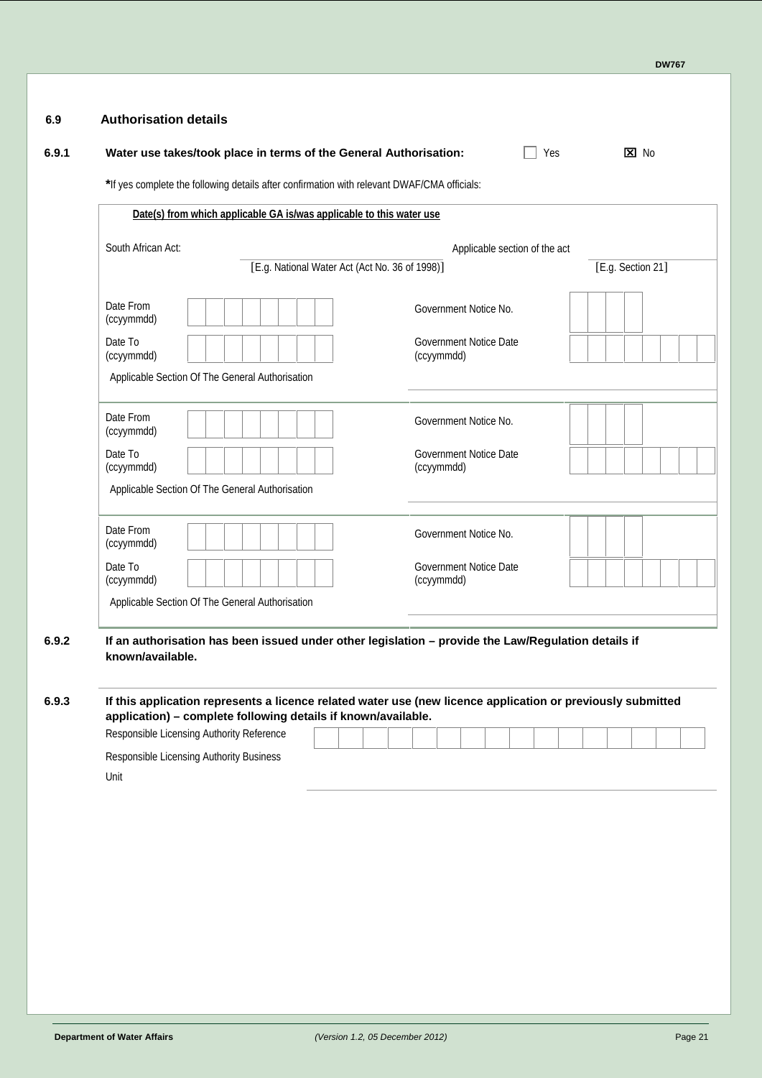|                         | Water use takes/took place in terms of the General Authorisation:                           |                                                                                                                                                                                                                    | $\overline{X}$ No<br>Yes |  |  |  |  |  |  |
|-------------------------|---------------------------------------------------------------------------------------------|--------------------------------------------------------------------------------------------------------------------------------------------------------------------------------------------------------------------|--------------------------|--|--|--|--|--|--|
|                         | *If yes complete the following details after confirmation with relevant DWAF/CMA officials: |                                                                                                                                                                                                                    |                          |  |  |  |  |  |  |
|                         | Date(s) from which applicable GA is/was applicable to this water use                        |                                                                                                                                                                                                                    |                          |  |  |  |  |  |  |
| South African Act:      |                                                                                             | Applicable section of the act                                                                                                                                                                                      |                          |  |  |  |  |  |  |
|                         |                                                                                             | [E.g. National Water Act (Act No. 36 of 1998)]                                                                                                                                                                     |                          |  |  |  |  |  |  |
| Date From<br>(ccyymmdd) |                                                                                             | Government Notice No.                                                                                                                                                                                              |                          |  |  |  |  |  |  |
| Date To<br>(ccyymmdd)   |                                                                                             | Government Notice Date<br>(ccyymmdd)                                                                                                                                                                               |                          |  |  |  |  |  |  |
|                         | Applicable Section Of The General Authorisation                                             |                                                                                                                                                                                                                    |                          |  |  |  |  |  |  |
| Date From<br>(ccyymmdd) |                                                                                             | Government Notice No.                                                                                                                                                                                              |                          |  |  |  |  |  |  |
| Date To<br>(ccyymmdd)   |                                                                                             | <b>Government Notice Date</b><br>(ccyymmdd)                                                                                                                                                                        |                          |  |  |  |  |  |  |
|                         | Applicable Section Of The General Authorisation                                             |                                                                                                                                                                                                                    |                          |  |  |  |  |  |  |
| Date From<br>(ccyymmdd) |                                                                                             | Government Notice No.                                                                                                                                                                                              |                          |  |  |  |  |  |  |
| Date To<br>(ccyymmdd)   |                                                                                             | Government Notice Date<br>(ccyymmdd)                                                                                                                                                                               |                          |  |  |  |  |  |  |
|                         | Applicable Section Of The General Authorisation                                             |                                                                                                                                                                                                                    |                          |  |  |  |  |  |  |
| known/available.        |                                                                                             | If an authorisation has been issued under other legislation - provide the Law/Regulation details if<br>If this application represents a licence related water use (new licence application or previously submitted |                          |  |  |  |  |  |  |
|                         | application) - complete following details if known/available.                               |                                                                                                                                                                                                                    |                          |  |  |  |  |  |  |
|                         | Responsible Licensing Authority Reference<br>Responsible Licensing Authority Business       |                                                                                                                                                                                                                    |                          |  |  |  |  |  |  |
| Unit                    |                                                                                             |                                                                                                                                                                                                                    |                          |  |  |  |  |  |  |
|                         |                                                                                             |                                                                                                                                                                                                                    |                          |  |  |  |  |  |  |
|                         |                                                                                             |                                                                                                                                                                                                                    |                          |  |  |  |  |  |  |
|                         |                                                                                             |                                                                                                                                                                                                                    |                          |  |  |  |  |  |  |